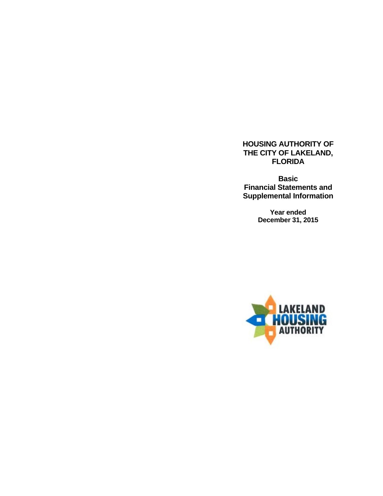**HOUSING AUTHORITY OF THE CITY OF LAKELAND, FLORIDA** 

**Basic Financial Statements and Supplemental Information** 

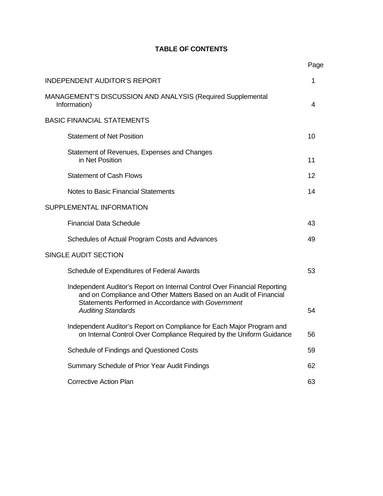# **TABLE OF CONTENTS**

|                                                                                                                                                                                                                                    | Page |
|------------------------------------------------------------------------------------------------------------------------------------------------------------------------------------------------------------------------------------|------|
| <b>INDEPENDENT AUDITOR'S REPORT</b>                                                                                                                                                                                                | 1    |
| MANAGEMENT'S DISCUSSION AND ANALYSIS (Required Supplemental<br>Information)                                                                                                                                                        | 4    |
| <b>BASIC FINANCIAL STATEMENTS</b>                                                                                                                                                                                                  |      |
| <b>Statement of Net Position</b>                                                                                                                                                                                                   | 10   |
| Statement of Revenues, Expenses and Changes<br>in Net Position                                                                                                                                                                     | 11   |
| <b>Statement of Cash Flows</b>                                                                                                                                                                                                     | 12   |
| <b>Notes to Basic Financial Statements</b>                                                                                                                                                                                         | 14   |
| SUPPLEMENTAL INFORMATION                                                                                                                                                                                                           |      |
| <b>Financial Data Schedule</b>                                                                                                                                                                                                     | 43   |
| Schedules of Actual Program Costs and Advances                                                                                                                                                                                     | 49   |
| SINGLE AUDIT SECTION                                                                                                                                                                                                               |      |
| Schedule of Expenditures of Federal Awards                                                                                                                                                                                         | 53   |
| Independent Auditor's Report on Internal Control Over Financial Reporting<br>and on Compliance and Other Matters Based on an Audit of Financial<br>Statements Performed in Accordance with Government<br><b>Auditing Standards</b> | 54   |
| Independent Auditor's Report on Compliance for Each Major Program and<br>on Internal Control Over Compliance Required by the Uniform Guidance                                                                                      | 56   |
| <b>Schedule of Findings and Questioned Costs</b>                                                                                                                                                                                   | 59   |
| Summary Schedule of Prior Year Audit Findings                                                                                                                                                                                      | 62   |
| <b>Corrective Action Plan</b>                                                                                                                                                                                                      | 63   |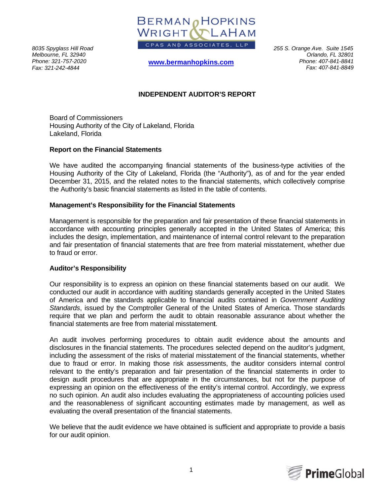



**www.berm manhopkins s.com**

 *255 S S. Orange Ave . Suite 1545 Orland do, FL 32801 Phone: 4 07-841-8841 Fax: 4 07-841-8849* 

## INDEPENDENT AUDITOR'S REPORT

Board of Commissioners Housing Authority of the City of Lakeland, Florida Lakeland, Florida

#### **Report on the Financial Statements**

We have audited the accompanying financial statements of the business-type activities of the Housing Authority of the City of Lakeland, Florida (the "Authority"), as of and for the year ended December 31, 2015, and the related notes to the financial statements, which collectively comprise the Authority's basic financial statements as listed in the table of contents.

#### **Management's Responsibility for the Financial Statements**

Management is responsible for the preparation and fair presentation of these financial statements in accordance with accounting principles generally accepted in the United States of America; this includes the design, implementation, and maintenance of internal control relevant to the preparation and fair presentation of financial statements that are free from material misstatement, whether due to fraud d or error.

#### **Auditor r's Respons sibility**

Our responsibility is to express an opinion on these financial statements based on our audit. We conducted our audit in accordance with auditing standards generally accepted in the United States of America and the standards applicable to financial audits contained in *Government Auditing* Standards, issued by the Comptroller General of the United States of America. Those standards require that we plan and perform the audit to obtain reasonable assurance about whether the financial statements are free from material misstatement.

An audit involves performing procedures to obtain audit evidence about the amounts and disclosures in the financial statements. The procedures selected depend on the auditor's judgment, including the assessment of the risks of material misstatement of the financial statements, whether due to fraud or error. In making those risk assessments, the auditor considers internal control relevant to the entity's preparation and fair presentation of the financial statements in order to design audit procedures that are appropriate in the circumstances, but not for the purpose of expressing an opinion on the effectiveness of the entity's internal control. Accordingly, we express no such opinion. An audit also includes evaluating the appropriateness of accounting policies used and the reasonableness of significant accounting estimates made by management, as well as evaluating the overall presentation of the financial statements.

We believe that the audit evidence we have obtained is sufficient and appropriate to provide a basis for our audit opinion.

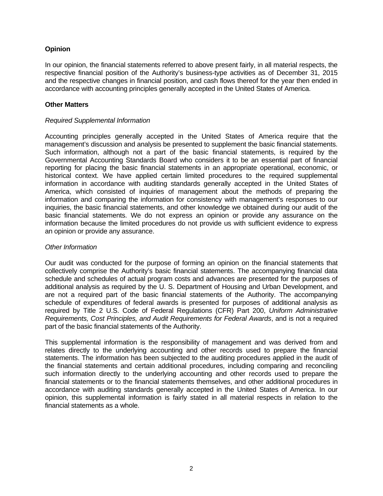## **Opinion**

In our opinion, the financial statements referred to above present fairly, in all material respects, the respective financial position of the Authority's business-type activities as of December 31, 2015 and the respective changes in financial position, and cash flows thereof for the year then ended in accordance with accounting principles generally accepted in the United States of America.

## **Other Matters**

## *Required Supplemental Information*

Accounting principles generally accepted in the United States of America require that the management's discussion and analysis be presented to supplement the basic financial statements. Such information, although not a part of the basic financial statements, is required by the Governmental Accounting Standards Board who considers it to be an essential part of financial reporting for placing the basic financial statements in an appropriate operational, economic, or historical context. We have applied certain limited procedures to the required supplemental information in accordance with auditing standards generally accepted in the United States of America, which consisted of inquiries of management about the methods of preparing the information and comparing the information for consistency with management's responses to our inquiries, the basic financial statements, and other knowledge we obtained during our audit of the basic financial statements. We do not express an opinion or provide any assurance on the information because the limited procedures do not provide us with sufficient evidence to express an opinion or provide any assurance.

#### *Other Information*

Our audit was conducted for the purpose of forming an opinion on the financial statements that collectively comprise the Authority's basic financial statements. The accompanying financial data schedule and schedules of actual program costs and advances are presented for the purposes of additional analysis as required by the U. S. Department of Housing and Urban Development, and are not a required part of the basic financial statements of the Authority. The accompanying schedule of expenditures of federal awards is presented for purposes of additional analysis as required by Title 2 U.S. Code of Federal Regulations (CFR) Part 200, *Uniform Administrative Requirements, Cost Principles, and Audit Requirements for Federal Awards*, and is not a required part of the basic financial statements of the Authority.

This supplemental information is the responsibility of management and was derived from and relates directly to the underlying accounting and other records used to prepare the financial statements. The information has been subjected to the auditing procedures applied in the audit of the financial statements and certain additional procedures, including comparing and reconciling such information directly to the underlying accounting and other records used to prepare the financial statements or to the financial statements themselves, and other additional procedures in accordance with auditing standards generally accepted in the United States of America. In our opinion, this supplemental information is fairly stated in all material respects in relation to the financial statements as a whole.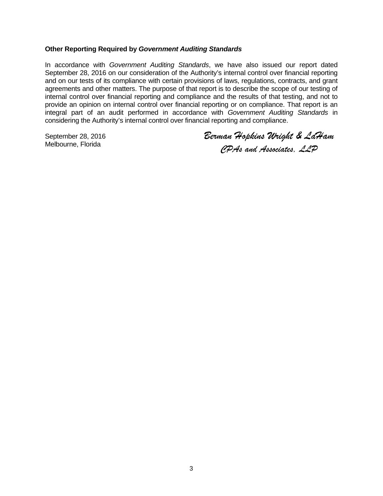#### **Other Reporting Required by** *Government Auditing Standards*

In accordance with *Government Auditing Standards*, we have also issued our report dated September 28, 2016 on our consideration of the Authority's internal control over financial reporting and on our tests of its compliance with certain provisions of laws, regulations, contracts, and grant agreements and other matters. The purpose of that report is to describe the scope of our testing of internal control over financial reporting and compliance and the results of that testing, and not to provide an opinion on internal control over financial reporting or on compliance. That report is an integral part of an audit performed in accordance with *Government Auditing Standards* in considering the Authority's internal control over financial reporting and compliance.

September 28, 2016 Melbourne, Florida

*Berman Hopkins Wright & LaHam CPAs and Associates, LLP*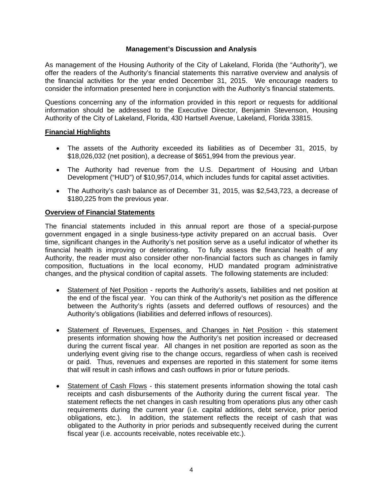## **Management's Discussion and Analysis**

As management of the Housing Authority of the City of Lakeland, Florida (the "Authority"), we offer the readers of the Authority's financial statements this narrative overview and analysis of the financial activities for the year ended December 31, 2015. We encourage readers to consider the information presented here in conjunction with the Authority's financial statements.

Questions concerning any of the information provided in this report or requests for additional information should be addressed to the Executive Director, Benjamin Stevenson, Housing Authority of the City of Lakeland, Florida, 430 Hartsell Avenue, Lakeland, Florida 33815.

#### **Financial Highlights**

- The assets of the Authority exceeded its liabilities as of December 31, 2015, by \$18,026,032 (net position), a decrease of \$651,994 from the previous year.
- The Authority had revenue from the U.S. Department of Housing and Urban Development ("HUD") of \$10,957,014, which includes funds for capital asset activities.
- The Authority's cash balance as of December 31, 2015, was \$2,543,723, a decrease of \$180,225 from the previous year.

#### **Overview of Financial Statements**

The financial statements included in this annual report are those of a special-purpose government engaged in a single business-type activity prepared on an accrual basis. Over time, significant changes in the Authority's net position serve as a useful indicator of whether its financial health is improving or deteriorating. To fully assess the financial health of any Authority, the reader must also consider other non-financial factors such as changes in family composition, fluctuations in the local economy, HUD mandated program administrative changes, and the physical condition of capital assets. The following statements are included:

- Statement of Net Position reports the Authority's assets, liabilities and net position at the end of the fiscal year. You can think of the Authority's net position as the difference between the Authority's rights (assets and deferred outflows of resources) and the Authority's obligations (liabilities and deferred inflows of resources).
- Statement of Revenues, Expenses, and Changes in Net Position this statement presents information showing how the Authority's net position increased or decreased during the current fiscal year. All changes in net position are reported as soon as the underlying event giving rise to the change occurs, regardless of when cash is received or paid. Thus, revenues and expenses are reported in this statement for some items that will result in cash inflows and cash outflows in prior or future periods.
- Statement of Cash Flows this statement presents information showing the total cash receipts and cash disbursements of the Authority during the current fiscal year. The statement reflects the net changes in cash resulting from operations plus any other cash requirements during the current year (i.e. capital additions, debt service, prior period obligations, etc.). In addition, the statement reflects the receipt of cash that was obligated to the Authority in prior periods and subsequently received during the current fiscal year (i.e. accounts receivable, notes receivable etc.).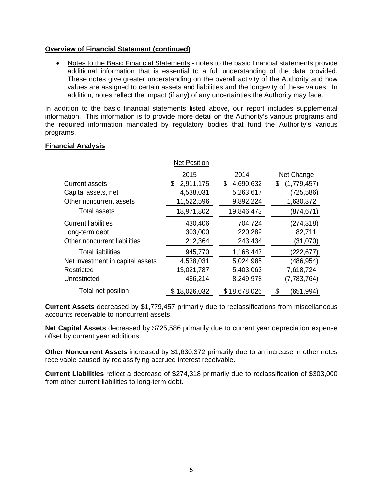## **Overview of Financial Statement (continued)**

 Notes to the Basic Financial Statements - notes to the basic financial statements provide additional information that is essential to a full understanding of the data provided. These notes give greater understanding on the overall activity of the Authority and how values are assigned to certain assets and liabilities and the longevity of these values. In addition, notes reflect the impact (if any) of any uncertainties the Authority may face.

In addition to the basic financial statements listed above, our report includes supplemental information. This information is to provide more detail on the Authority's various programs and the required information mandated by regulatory bodies that fund the Authority's various programs.

#### **Financial Analysis**

|                                  | <b>Net Position</b> |                 |                   |
|----------------------------------|---------------------|-----------------|-------------------|
|                                  | 2015                | 2014            | Net Change        |
| <b>Current assets</b>            | 2,911,175<br>\$     | 4,690,632<br>\$ | (1,779,457)<br>\$ |
| Capital assets, net              | 4,538,031           | 5,263,617       | (725,586)         |
| Other noncurrent assets          | 11,522,596          | 9,892,224       | 1,630,372         |
| <b>Total assets</b>              | 18,971,802          | 19,846,473      | (874,671)         |
| <b>Current liabilities</b>       | 430,406             | 704,724         | (274,318)         |
| Long-term debt                   | 303,000             | 220,289         | 82,711            |
| Other noncurrent liabilities     | 212,364             | 243,434         | (31,070)          |
| <b>Total liabilities</b>         | 945,770             | 1,168,447       | (222, 677)        |
| Net investment in capital assets | 4,538,031           | 5,024,985       | (486,954)         |
| Restricted                       | 13,021,787          | 5,403,063       | 7,618,724         |
| Unrestricted                     | 466,214             | 8,249,978       | (7,783,764)       |
| Total net position               | \$18,026,032        | \$18,678,026    | \$<br>(651,994)   |

**Current Assets** decreased by \$1,779,457 primarily due to reclassifications from miscellaneous accounts receivable to noncurrent assets.

**Net Capital Assets** decreased by \$725,586 primarily due to current year depreciation expense offset by current year additions.

**Other Noncurrent Assets** increased by \$1,630,372 primarily due to an increase in other notes receivable caused by reclassifying accrued interest receivable.

**Current Liabilities** reflect a decrease of \$274,318 primarily due to reclassification of \$303,000 from other current liabilities to long-term debt.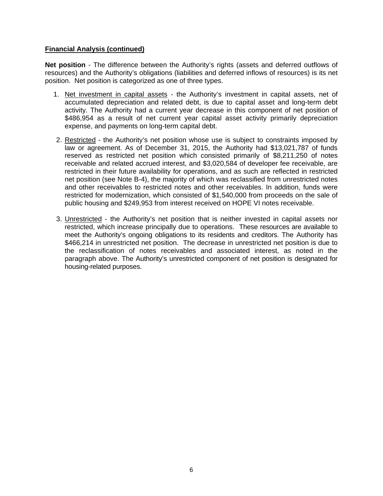## **Financial Analysis (continued)**

**Net position** - The difference between the Authority's rights (assets and deferred outflows of resources) and the Authority's obligations (liabilities and deferred inflows of resources) is its net position. Net position is categorized as one of three types.

- 1. Net investment in capital assets the Authority's investment in capital assets, net of accumulated depreciation and related debt, is due to capital asset and long-term debt activity. The Authority had a current year decrease in this component of net position of \$486,954 as a result of net current year capital asset activity primarily depreciation expense, and payments on long-term capital debt.
- 2. Restricted the Authority's net position whose use is subject to constraints imposed by law or agreement. As of December 31, 2015, the Authority had \$13,021,787 of funds reserved as restricted net position which consisted primarily of \$8,211,250 of notes receivable and related accrued interest, and \$3,020,584 of developer fee receivable, are restricted in their future availability for operations, and as such are reflected in restricted net position (see Note B-4), the majority of which was reclassified from unrestricted notes and other receivables to restricted notes and other receivables. In addition, funds were restricted for modernization, which consisted of \$1,540,000 from proceeds on the sale of public housing and \$249,953 from interest received on HOPE VI notes receivable.
- 3. Unrestricted the Authority's net position that is neither invested in capital assets nor restricted, which increase principally due to operations. These resources are available to meet the Authority's ongoing obligations to its residents and creditors. The Authority has \$466,214 in unrestricted net position. The decrease in unrestricted net position is due to the reclassification of notes receivables and associated interest, as noted in the paragraph above. The Authority's unrestricted component of net position is designated for housing-related purposes.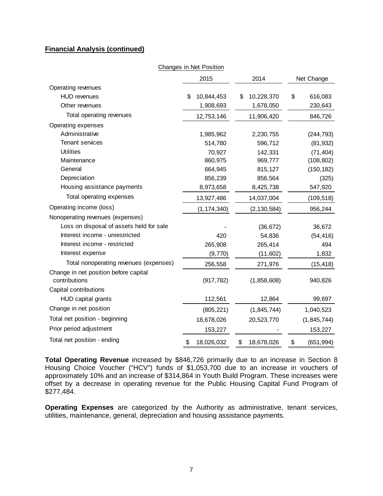## **Financial Analysis (continued)**

|                                                        | <b>Changes in Net Position</b> |                  |                  |
|--------------------------------------------------------|--------------------------------|------------------|------------------|
|                                                        | 2015                           | 2014             | Net Change       |
| Operating revenues                                     |                                |                  |                  |
| <b>HUD</b> revenues                                    | 10,844,453<br>\$               | \$<br>10,228,370 | \$<br>616,083    |
| Other revenues                                         | 1,908,693                      | 1,678,050        | 230,643          |
| Total operating revenues                               | 12,753,146                     | 11,906,420       | 846,726          |
| Operating expenses                                     |                                |                  |                  |
| Administrative                                         | 1,985,962                      | 2,230,755        | (244, 793)       |
| Tenant services                                        | 514,780                        | 596,712          | (81, 932)        |
| <b>Utilities</b>                                       | 70,927                         | 142,331          | (71, 404)        |
| Maintenance                                            | 860,975                        | 969,777          | (108, 802)       |
| General                                                | 664,945                        | 815,127          | (150, 182)       |
| Depreciation                                           | 856,239                        | 856,564          | (325)            |
| Housing assistance payments                            | 8,973,658                      | 8,425,738        | 547,920          |
| Total operating expenses                               | 13,927,486                     | 14,037,004       | (109, 518)       |
| Operating income (loss)                                | (1, 174, 340)                  | (2, 130, 584)    | 956,244          |
| Nonoperating revenues (expenses)                       |                                |                  |                  |
| Loss on disposal of assets held for sale               |                                | (36, 672)        | 36,672           |
| Interest income - unrestricted                         | 420                            | 54,836           | (54, 416)        |
| Interest income - restricted                           | 265,908                        | 265,414          | 494              |
| Interest expense                                       | (9,770)                        | (11,602)         | 1,832            |
| Total nonoperating revenues (expenses)                 | 256,558                        | 271,976          | (15, 418)        |
| Change in net position before capital<br>contributions | (917, 782)                     | (1,858,608)      | 940,826          |
| Capital contributions                                  |                                |                  |                  |
| HUD capital grants                                     | 112,561                        | 12,864           | 99,697           |
| Change in net position                                 | (805, 221)                     | (1, 845, 744)    | 1,040,523        |
| Total net position - beginning                         | 18,678,026                     | 20,523,770       | (1, 845, 744)    |
| Prior period adjustment                                | 153,227                        |                  | 153,227          |
| Total net position - ending                            | \$<br>18,026,032               | \$<br>18,678,026 | \$<br>(651, 994) |

**Total Operating Revenue** increased by \$846,726 primarily due to an increase in Section 8 Housing Choice Voucher ("HCV") funds of \$1,053,700 due to an increase in vouchers of approximately 10% and an increase of \$314,864 in Youth Build Program. These increases were offset by a decrease in operating revenue for the Public Housing Capital Fund Program of \$277,484.

**Operating Expenses** are categorized by the Authority as administrative, tenant services, utilities, maintenance, general, depreciation and housing assistance payments.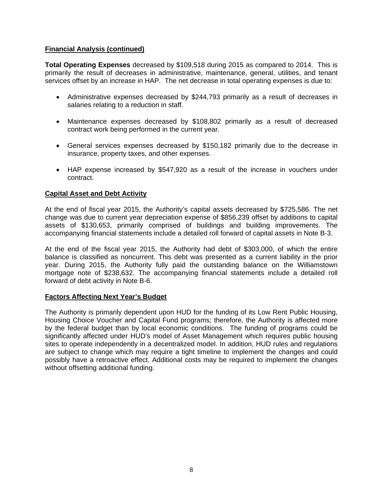## **Financial Analysis (continued)**

**Total Operating Expenses** decreased by \$109,518 during 2015 as compared to 2014. This is primarily the result of decreases in administrative, maintenance, general, utilities, and tenant services offset by an increase in HAP. The net decrease in total operating expenses is due to:

- Administrative expenses decreased by \$244,793 primarily as a result of decreases in salaries relating to a reduction in staff.
- Maintenance expenses decreased by \$108,802 primarily as a result of decreased contract work being performed in the current year.
- General services expenses decreased by \$150,182 primarily due to the decrease in insurance, property taxes, and other expenses.
- HAP expense increased by \$547,920 as a result of the increase in vouchers under contract.

## **Capital Asset and Debt Activity**

At the end of fiscal year 2015, the Authority's capital assets decreased by \$725,586. The net change was due to current year depreciation expense of \$856,239 offset by additions to capital assets of \$130,653, primarily comprised of buildings and building improvements. The accompanying financial statements include a detailed roll forward of capital assets in Note B-3.

At the end of the fiscal year 2015, the Authority had debt of \$303,000, of which the entire balance is classified as noncurrent. This debt was presented as a current liability in the prior year. During 2015, the Authority fully paid the outstanding balance on the Williamstown mortgage note of \$238,632. The accompanying financial statements include a detailed roll forward of debt activity in Note B-6.

## **Factors Affecting Next Year's Budget**

The Authority is primarily dependent upon HUD for the funding of its Low Rent Public Housing, Housing Choice Voucher and Capital Fund programs; therefore, the Authority is affected more by the federal budget than by local economic conditions. The funding of programs could be significantly affected under HUD's model of Asset Management which requires public housing sites to operate independently in a decentralized model. In addition, HUD rules and regulations are subject to change which may require a tight timeline to implement the changes and could possibly have a retroactive effect. Additional costs may be required to implement the changes without offsetting additional funding.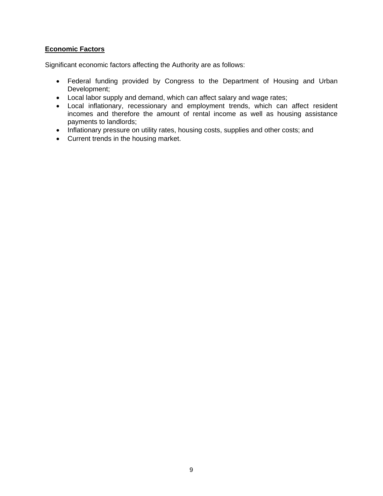## **Economic Factors**

Significant economic factors affecting the Authority are as follows:

- Federal funding provided by Congress to the Department of Housing and Urban Development;
- Local labor supply and demand, which can affect salary and wage rates;
- Local inflationary, recessionary and employment trends, which can affect resident incomes and therefore the amount of rental income as well as housing assistance payments to landlords;
- Inflationary pressure on utility rates, housing costs, supplies and other costs; and
- Current trends in the housing market.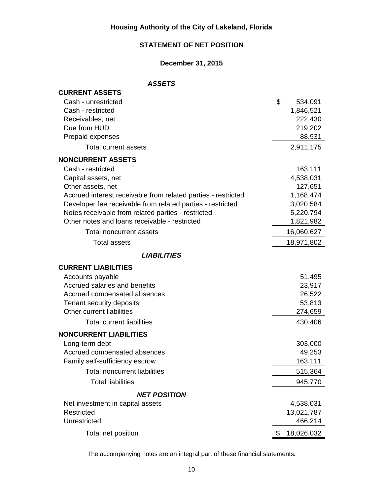# **STATEMENT OF NET POSITION**

# **December 31, 2015**

# *ASSETS*

| <b>CURRENT ASSETS</b>                                         |                  |
|---------------------------------------------------------------|------------------|
| Cash - unrestricted                                           | \$<br>534,091    |
| Cash - restricted                                             | 1,846,521        |
| Receivables, net                                              | 222,430          |
| Due from HUD                                                  | 219,202          |
| Prepaid expenses                                              | 88,931           |
| <b>Total current assets</b>                                   | 2,911,175        |
| <b>NONCURRENT ASSETS</b>                                      |                  |
| Cash - restricted                                             | 163,111          |
| Capital assets, net                                           | 4,538,031        |
| Other assets, net                                             | 127,651          |
| Accrued interest receivable from related parties - restricted | 1,168,474        |
| Developer fee receivable from related parties - restricted    | 3,020,584        |
| Notes receivable from related parties - restricted            | 5,220,794        |
| Other notes and loans receivable - restricted                 | 1,821,982        |
| <b>Total noncurrent assets</b>                                | 16,060,627       |
| <b>Total assets</b>                                           | 18,971,802       |
| <b>LIABILITIES</b>                                            |                  |
| <b>CURRENT LIABILITIES</b>                                    |                  |
| Accounts payable                                              | 51,495           |
| Accrued salaries and benefits                                 | 23,917           |
| Accrued compensated absences                                  | 26,522           |
| Tenant security deposits                                      | 53,813           |
| Other current liabilities                                     | 274,659          |
| <b>Total current liabilities</b>                              | 430,406          |
| <b>NONCURRENT LIABILITIES</b>                                 |                  |
| Long-term debt                                                | 303,000          |
| Accrued compensated absences                                  | 49,253           |
| Family self-sufficiency escrow                                | 163,111          |
| Total noncurrent liabilities                                  | 515,364          |
| <b>Total liabilities</b>                                      | 945,770          |
| <b>NET POSITION</b>                                           |                  |
| Net investment in capital assets                              | 4,538,031        |
| Restricted                                                    | 13,021,787       |
| Unrestricted                                                  | 466,214          |
| Total net position                                            | \$<br>18,026,032 |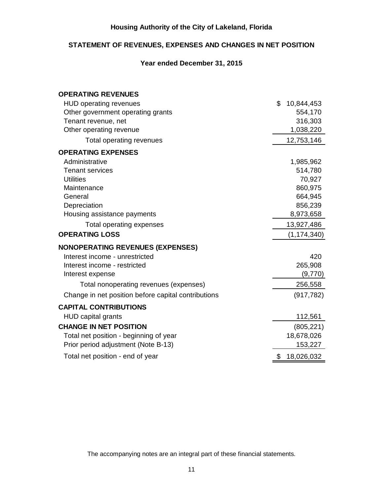# **STATEMENT OF REVENUES, EXPENSES AND CHANGES IN NET POSITION**

# **Year ended December 31, 2015**

| <b>OPERATING REVENUES</b>                           |                  |
|-----------------------------------------------------|------------------|
| <b>HUD operating revenues</b>                       | \$<br>10,844,453 |
| Other government operating grants                   | 554,170          |
| Tenant revenue, net                                 | 316,303          |
| Other operating revenue                             | 1,038,220        |
| Total operating revenues                            | 12,753,146       |
| <b>OPERATING EXPENSES</b>                           |                  |
| Administrative                                      | 1,985,962        |
| <b>Tenant services</b>                              | 514,780          |
| <b>Utilities</b>                                    | 70,927           |
| Maintenance                                         | 860,975          |
| General                                             | 664,945          |
| Depreciation                                        | 856,239          |
| Housing assistance payments                         | 8,973,658        |
| Total operating expenses                            | 13,927,486       |
| <b>OPERATING LOSS</b>                               | (1, 174, 340)    |
| <b>NONOPERATING REVENUES (EXPENSES)</b>             |                  |
| Interest income - unrestricted                      | 420              |
| Interest income - restricted                        | 265,908          |
| Interest expense                                    | (9,770)          |
| Total nonoperating revenues (expenses)              | 256,558          |
| Change in net position before capital contributions | (917, 782)       |
| <b>CAPITAL CONTRIBUTIONS</b>                        |                  |
| <b>HUD capital grants</b>                           | 112,561          |
| <b>CHANGE IN NET POSITION</b>                       | (805, 221)       |
| Total net position - beginning of year              | 18,678,026       |
| Prior period adjustment (Note B-13)                 | 153,227          |
| Total net position - end of year                    | \$<br>18,026,032 |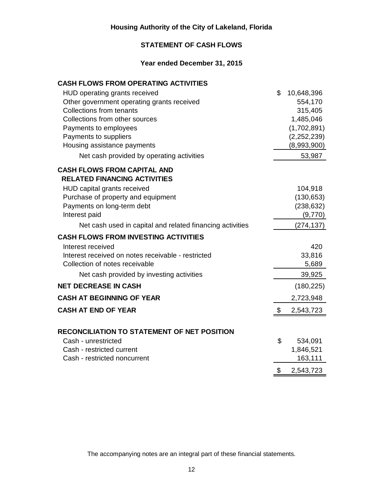# **STATEMENT OF CASH FLOWS**

# **Year ended December 31, 2015**

# **CASH FLOWS FROM OPERATING ACTIVITIES**

| HUD operating grants received                             | \$            | 10,648,396  |
|-----------------------------------------------------------|---------------|-------------|
| Other government operating grants received                |               | 554,170     |
| Collections from tenants                                  |               | 315,405     |
| Collections from other sources                            |               | 1,485,046   |
| Payments to employees                                     |               | (1,702,891) |
| Payments to suppliers                                     |               | (2,252,239) |
| Housing assistance payments                               |               | (8,993,900) |
| Net cash provided by operating activities                 |               | 53,987      |
| <b>CASH FLOWS FROM CAPITAL AND</b>                        |               |             |
| <b>RELATED FINANCING ACTIVITIES</b>                       |               |             |
| HUD capital grants received                               |               | 104,918     |
| Purchase of property and equipment                        |               | (130, 653)  |
| Payments on long-term debt                                |               | (238, 632)  |
| Interest paid                                             |               | (9,770)     |
| Net cash used in capital and related financing activities |               | (274, 137)  |
| <b>CASH FLOWS FROM INVESTING ACTIVITIES</b>               |               |             |
| Interest received                                         |               | 420         |
| Interest received on notes receivable - restricted        |               | 33,816      |
| Collection of notes receivable                            |               | 5,689       |
| Net cash provided by investing activities                 |               | 39,925      |
| <b>NET DECREASE IN CASH</b>                               |               | (180, 225)  |
| <b>CASH AT BEGINNING OF YEAR</b>                          |               | 2,723,948   |
| <b>CASH AT END OF YEAR</b>                                | $\sqrt[6]{2}$ | 2,543,723   |
|                                                           |               |             |
| <b>RECONCILIATION TO STATEMENT OF NET POSITION</b>        |               |             |
| Cash - unrestricted                                       | \$            | 534,091     |
| Cash - restricted current                                 |               | 1,846,521   |
| Cash - restricted noncurrent                              |               | 163,111     |
|                                                           | \$            | 2,543,723   |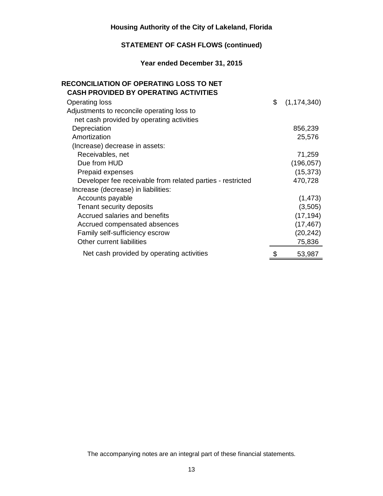| Year ended December 31, 2015                                                                   |                     |
|------------------------------------------------------------------------------------------------|---------------------|
|                                                                                                |                     |
| <b>RECONCILIATION OF OPERATING LOSS TO NET</b><br><b>CASH PROVIDED BY OPERATING ACTIVITIES</b> |                     |
|                                                                                                |                     |
| <b>Operating loss</b>                                                                          | \$<br>(1, 174, 340) |
| Adjustments to reconcile operating loss to                                                     |                     |
| net cash provided by operating activities                                                      |                     |
| Depreciation                                                                                   | 856,239             |
| Amortization                                                                                   | 25,576              |
| (Increase) decrease in assets:                                                                 |                     |
| Receivables, net                                                                               | 71,259              |
| Due from HUD                                                                                   | (196, 057)          |
| Prepaid expenses                                                                               | (15, 373)           |
| Developer fee receivable from related parties - restricted                                     | 470,728             |
| Increase (decrease) in liabilities:                                                            |                     |
| Accounts payable                                                                               | (1, 473)            |
| Tenant security deposits                                                                       | (3,505)             |
| Accrued salaries and benefits                                                                  | (17, 194)           |
| Accrued compensated absences                                                                   | (17, 467)           |
| Family self-sufficiency escrow                                                                 | (20, 242)           |
| Other current liabilities                                                                      | 75,836              |
| Net cash provided by operating activities                                                      | 53,987              |

**STATEMENT OF CASH FLOWS (continued)**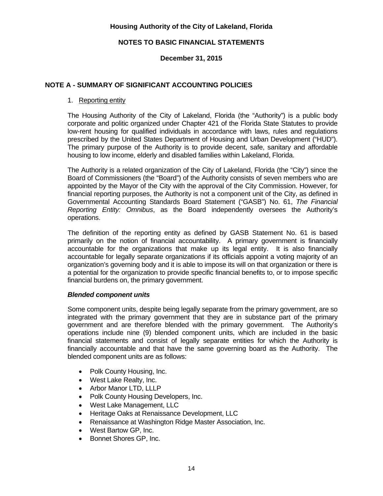### **NOTES TO BASIC FINANCIAL STATEMENTS**

## **December 31, 2015**

## **NOTE A - SUMMARY OF SIGNIFICANT ACCOUNTING POLICIES**

#### 1. Reporting entity

The Housing Authority of the City of Lakeland, Florida (the "Authority") is a public body corporate and politic organized under Chapter 421 of the Florida State Statutes to provide low-rent housing for qualified individuals in accordance with laws, rules and regulations prescribed by the United States Department of Housing and Urban Development ("HUD"). The primary purpose of the Authority is to provide decent, safe, sanitary and affordable housing to low income, elderly and disabled families within Lakeland, Florida.

The Authority is a related organization of the City of Lakeland, Florida (the "City") since the Board of Commissioners (the "Board") of the Authority consists of seven members who are appointed by the Mayor of the City with the approval of the City Commission. However, for financial reporting purposes, the Authority is not a component unit of the City, as defined in Governmental Accounting Standards Board Statement ("GASB") No. 61, *The Financial Reporting Entity: Omnibus*, as the Board independently oversees the Authority's operations.

The definition of the reporting entity as defined by GASB Statement No. 61 is based primarily on the notion of financial accountability. A primary government is financially accountable for the organizations that make up its legal entity. It is also financially accountable for legally separate organizations if its officials appoint a voting majority of an organization's governing body and it is able to impose its will on that organization or there is a potential for the organization to provide specific financial benefits to, or to impose specific financial burdens on, the primary government.

#### *Blended component units*

Some component units, despite being legally separate from the primary government, are so integrated with the primary government that they are in substance part of the primary government and are therefore blended with the primary government. The Authority's operations include nine (9) blended component units, which are included in the basic financial statements and consist of legally separate entities for which the Authority is financially accountable and that have the same governing board as the Authority. The blended component units are as follows:

- Polk County Housing, Inc.
- West Lake Realty, Inc.
- Arbor Manor LTD, LLLP
- Polk County Housing Developers, Inc.
- West Lake Management, LLC
- **Heritage Oaks at Renaissance Development, LLC**
- Renaissance at Washington Ridge Master Association, Inc.
- West Bartow GP, Inc.
- Bonnet Shores GP, Inc.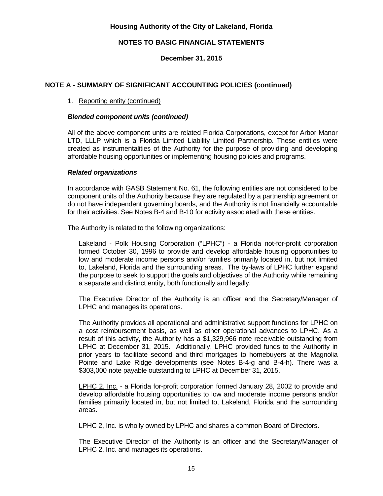## **NOTES TO BASIC FINANCIAL STATEMENTS**

#### **December 31, 2015**

## **NOTE A - SUMMARY OF SIGNIFICANT ACCOUNTING POLICIES (continued)**

#### 1. Reporting entity (continued)

#### *Blended component units (continued)*

All of the above component units are related Florida Corporations, except for Arbor Manor LTD, LLLP which is a Florida Limited Liability Limited Partnership. These entities were created as instrumentalities of the Authority for the purpose of providing and developing affordable housing opportunities or implementing housing policies and programs.

#### *Related organizations*

In accordance with GASB Statement No. 61, the following entities are not considered to be component units of the Authority because they are regulated by a partnership agreement or do not have independent governing boards, and the Authority is not financially accountable for their activities. See Notes B-4 and B-10 for activity associated with these entities.

The Authority is related to the following organizations:

Lakeland - Polk Housing Corporation ("LPHC") - a Florida not-for-profit corporation formed October 30, 1996 to provide and develop affordable housing opportunities to low and moderate income persons and/or families primarily located in, but not limited to, Lakeland, Florida and the surrounding areas. The by-laws of LPHC further expand the purpose to seek to support the goals and objectives of the Authority while remaining a separate and distinct entity, both functionally and legally.

The Executive Director of the Authority is an officer and the Secretary/Manager of LPHC and manages its operations.

The Authority provides all operational and administrative support functions for LPHC on a cost reimbursement basis, as well as other operational advances to LPHC. As a result of this activity, the Authority has a \$1,329,966 note receivable outstanding from LPHC at December 31, 2015. Additionally, LPHC provided funds to the Authority in prior years to facilitate second and third mortgages to homebuyers at the Magnolia Pointe and Lake Ridge developments (see Notes B-4-g and B-4-h). There was a \$303,000 note payable outstanding to LPHC at December 31, 2015.

LPHC 2, Inc. - a Florida for-profit corporation formed January 28, 2002 to provide and develop affordable housing opportunities to low and moderate income persons and/or families primarily located in, but not limited to, Lakeland, Florida and the surrounding areas.

LPHC 2, Inc. is wholly owned by LPHC and shares a common Board of Directors.

The Executive Director of the Authority is an officer and the Secretary/Manager of LPHC 2, Inc. and manages its operations.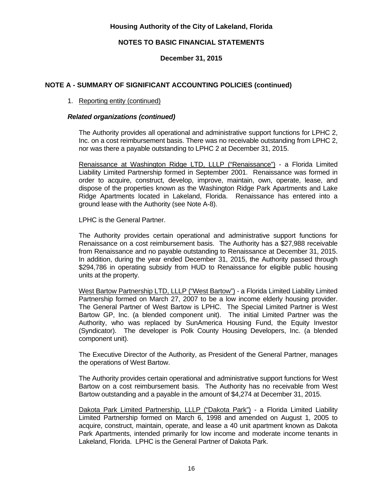### **NOTES TO BASIC FINANCIAL STATEMENTS**

#### **December 31, 2015**

## **NOTE A - SUMMARY OF SIGNIFICANT ACCOUNTING POLICIES (continued)**

#### 1. Reporting entity (continued)

#### *Related organizations (continued)*

The Authority provides all operational and administrative support functions for LPHC 2, Inc. on a cost reimbursement basis. There was no receivable outstanding from LPHC 2, nor was there a payable outstanding to LPHC 2 at December 31, 2015.

Renaissance at Washington Ridge LTD, LLLP ("Renaissance") - a Florida Limited Liability Limited Partnership formed in September 2001. Renaissance was formed in order to acquire, construct, develop, improve, maintain, own, operate, lease, and dispose of the properties known as the Washington Ridge Park Apartments and Lake Ridge Apartments located in Lakeland, Florida. Renaissance has entered into a ground lease with the Authority (see Note A-8).

LPHC is the General Partner.

The Authority provides certain operational and administrative support functions for Renaissance on a cost reimbursement basis. The Authority has a \$27,988 receivable from Renaissance and no payable outstanding to Renaissance at December 31, 2015. In addition, during the year ended December 31, 2015, the Authority passed through \$294,786 in operating subsidy from HUD to Renaissance for eligible public housing units at the property.

West Bartow Partnership LTD, LLLP ("West Bartow") - a Florida Limited Liability Limited Partnership formed on March 27, 2007 to be a low income elderly housing provider. The General Partner of West Bartow is LPHC. The Special Limited Partner is West Bartow GP, Inc. (a blended component unit). The initial Limited Partner was the Authority, who was replaced by SunAmerica Housing Fund, the Equity Investor (Syndicator). The developer is Polk County Housing Developers, Inc. (a blended component unit).

The Executive Director of the Authority, as President of the General Partner, manages the operations of West Bartow.

The Authority provides certain operational and administrative support functions for West Bartow on a cost reimbursement basis. The Authority has no receivable from West Bartow outstanding and a payable in the amount of \$4,274 at December 31, 2015.

Dakota Park Limited Partnership, LLLP ("Dakota Park") - a Florida Limited Liabilitv Limited Partnership formed on March 6, 1998 and amended on August 1, 2005 to acquire, construct, maintain, operate, and lease a 40 unit apartment known as Dakota Park Apartments, intended primarily for low income and moderate income tenants in Lakeland, Florida. LPHC is the General Partner of Dakota Park.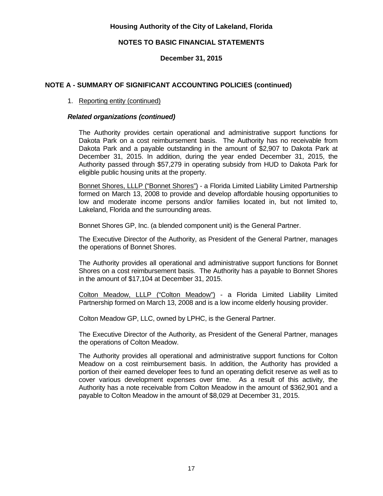#### **NOTES TO BASIC FINANCIAL STATEMENTS**

#### **December 31, 2015**

## **NOTE A - SUMMARY OF SIGNIFICANT ACCOUNTING POLICIES (continued)**

#### 1. Reporting entity (continued)

#### *Related organizations (continued)*

The Authority provides certain operational and administrative support functions for Dakota Park on a cost reimbursement basis. The Authority has no receivable from Dakota Park and a payable outstanding in the amount of \$2,907 to Dakota Park at December 31, 2015. In addition, during the year ended December 31, 2015, the Authority passed through \$57,279 in operating subsidy from HUD to Dakota Park for eligible public housing units at the property.

Bonnet Shores, LLLP ("Bonnet Shores") - a Florida Limited Liability Limited Partnership formed on March 13, 2008 to provide and develop affordable housing opportunities to low and moderate income persons and/or families located in, but not limited to, Lakeland, Florida and the surrounding areas.

Bonnet Shores GP, Inc. (a blended component unit) is the General Partner.

The Executive Director of the Authority, as President of the General Partner, manages the operations of Bonnet Shores.

The Authority provides all operational and administrative support functions for Bonnet Shores on a cost reimbursement basis. The Authority has a payable to Bonnet Shores in the amount of \$17,104 at December 31, 2015.

Colton Meadow, LLLP ("Colton Meadow") - a Florida Limited Liability Limited Partnership formed on March 13, 2008 and is a low income elderly housing provider.

Colton Meadow GP, LLC, owned by LPHC, is the General Partner.

The Executive Director of the Authority, as President of the General Partner, manages the operations of Colton Meadow.

The Authority provides all operational and administrative support functions for Colton Meadow on a cost reimbursement basis. In addition, the Authority has provided a portion of their earned developer fees to fund an operating deficit reserve as well as to cover various development expenses over time. As a result of this activity, the Authority has a note receivable from Colton Meadow in the amount of \$362,901 and a payable to Colton Meadow in the amount of \$8,029 at December 31, 2015.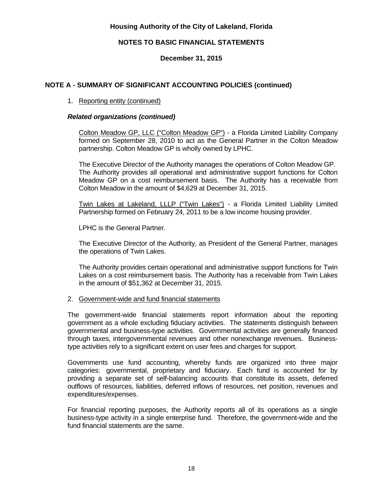## **NOTES TO BASIC FINANCIAL STATEMENTS**

## **December 31, 2015**

# **NOTE A - SUMMARY OF SIGNIFICANT ACCOUNTING POLICIES (continued)**

#### 1. Reporting entity (continued)

#### *Related organizations (continued)*

Colton Meadow GP, LLC ("Colton Meadow GP") - a Florida Limited Liability Company formed on September 28, 2010 to act as the General Partner in the Colton Meadow partnership. Colton Meadow GP is wholly owned by LPHC.

The Executive Director of the Authority manages the operations of Colton Meadow GP. The Authority provides all operational and administrative support functions for Colton Meadow GP on a cost reimbursement basis. The Authority has a receivable from Colton Meadow in the amount of \$4,629 at December 31, 2015.

Twin Lakes at Lakeland, LLLP ("Twin Lakes") - a Florida Limited Liability Limited Partnership formed on February 24, 2011 to be a low income housing provider.

LPHC is the General Partner.

The Executive Director of the Authority, as President of the General Partner, manages the operations of Twin Lakes.

The Authority provides certain operational and administrative support functions for Twin Lakes on a cost reimbursement basis. The Authority has a receivable from Twin Lakes in the amount of \$51,362 at December 31, 2015.

#### 2. Government-wide and fund financial statements

The government-wide financial statements report information about the reporting government as a whole excluding fiduciary activities. The statements distinguish between governmental and business-type activities. Governmental activities are generally financed through taxes, intergovernmental revenues and other nonexchange revenues. Businesstype activities rely to a significant extent on user fees and charges for support.

Governments use fund accounting, whereby funds are organized into three major categories: governmental, proprietary and fiduciary. Each fund is accounted for by providing a separate set of self-balancing accounts that constitute its assets, deferred outflows of resources, liabilities, deferred inflows of resources, net position, revenues and expenditures/expenses.

For financial reporting purposes, the Authority reports all of its operations as a single business-type activity in a single enterprise fund. Therefore, the government-wide and the fund financial statements are the same.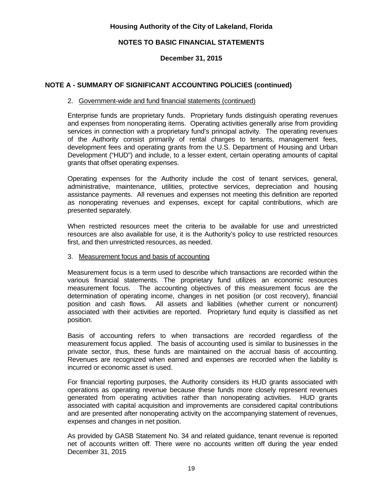## **NOTES TO BASIC FINANCIAL STATEMENTS**

## **December 31, 2015**

# **NOTE A - SUMMARY OF SIGNIFICANT ACCOUNTING POLICIES (continued)**

#### 2. Government-wide and fund financial statements (continued)

Enterprise funds are proprietary funds. Proprietary funds distinguish operating revenues and expenses from nonoperating items. Operating activities generally arise from providing services in connection with a proprietary fund's principal activity. The operating revenues of the Authority consist primarily of rental charges to tenants, management fees, development fees and operating grants from the U.S. Department of Housing and Urban Development ("HUD") and include, to a lesser extent, certain operating amounts of capital grants that offset operating expenses.

Operating expenses for the Authority include the cost of tenant services, general, administrative, maintenance, utilities, protective services, depreciation and housing assistance payments. All revenues and expenses not meeting this definition are reported as nonoperating revenues and expenses, except for capital contributions, which are presented separately.

When restricted resources meet the criteria to be available for use and unrestricted resources are also available for use, it is the Authority's policy to use restricted resources first, and then unrestricted resources, as needed.

#### 3. Measurement focus and basis of accounting

Measurement focus is a term used to describe which transactions are recorded within the various financial statements. The proprietary fund utilizes an economic resources measurement focus. The accounting objectives of this measurement focus are the determination of operating income, changes in net position (or cost recovery), financial position and cash flows. All assets and liabilities (whether current or noncurrent) associated with their activities are reported. Proprietary fund equity is classified as net position.

Basis of accounting refers to when transactions are recorded regardless of the measurement focus applied. The basis of accounting used is similar to businesses in the private sector, thus, these funds are maintained on the accrual basis of accounting. Revenues are recognized when earned and expenses are recorded when the liability is incurred or economic asset is used.

For financial reporting purposes, the Authority considers its HUD grants associated with operations as operating revenue because these funds more closely represent revenues generated from operating activities rather than nonoperating activities. HUD grants associated with capital acquisition and improvements are considered capital contributions and are presented after nonoperating activity on the accompanying statement of revenues, expenses and changes in net position.

As provided by GASB Statement No. 34 and related guidance, tenant revenue is reported net of accounts written off. There were no accounts written off during the year ended December 31, 2015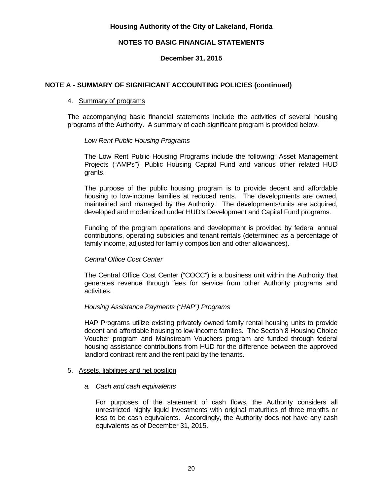#### **NOTES TO BASIC FINANCIAL STATEMENTS**

### **December 31, 2015**

## **NOTE A - SUMMARY OF SIGNIFICANT ACCOUNTING POLICIES (continued)**

#### 4. Summary of programs

The accompanying basic financial statements include the activities of several housing programs of the Authority. A summary of each significant program is provided below.

#### *Low Rent Public Housing Programs*

The Low Rent Public Housing Programs include the following: Asset Management Projects ("AMPs"), Public Housing Capital Fund and various other related HUD grants.

The purpose of the public housing program is to provide decent and affordable housing to low-income families at reduced rents. The developments are owned, maintained and managed by the Authority. The developments/units are acquired, developed and modernized under HUD's Development and Capital Fund programs.

Funding of the program operations and development is provided by federal annual contributions, operating subsidies and tenant rentals (determined as a percentage of family income, adjusted for family composition and other allowances).

#### *Central Office Cost Center*

The Central Office Cost Center ("COCC") is a business unit within the Authority that generates revenue through fees for service from other Authority programs and activities.

## *Housing Assistance Payments ("HAP") Programs*

HAP Programs utilize existing privately owned family rental housing units to provide decent and affordable housing to low-income families. The Section 8 Housing Choice Voucher program and Mainstream Vouchers program are funded through federal housing assistance contributions from HUD for the difference between the approved landlord contract rent and the rent paid by the tenants.

#### 5. Assets, liabilities and net position

#### *a. Cash and cash equivalents*

For purposes of the statement of cash flows, the Authority considers all unrestricted highly liquid investments with original maturities of three months or less to be cash equivalents. Accordingly, the Authority does not have any cash equivalents as of December 31, 2015.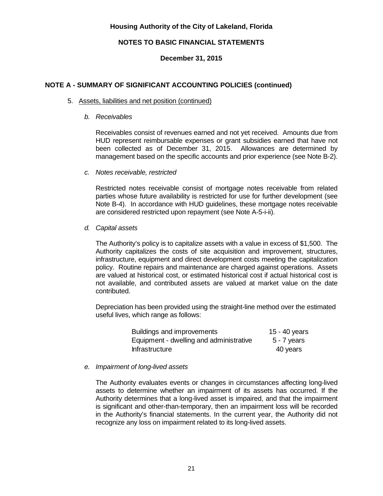#### **NOTES TO BASIC FINANCIAL STATEMENTS**

### **December 31, 2015**

## **NOTE A - SUMMARY OF SIGNIFICANT ACCOUNTING POLICIES (continued)**

#### 5. Assets, liabilities and net position (continued)

*b. Receivables* 

Receivables consist of revenues earned and not yet received. Amounts due from HUD represent reimbursable expenses or grant subsidies earned that have not been collected as of December 31, 2015. Allowances are determined by management based on the specific accounts and prior experience (see Note B-2).

*c. Notes receivable, restricted* 

Restricted notes receivable consist of mortgage notes receivable from related parties whose future availability is restricted for use for further development (see Note B-4). In accordance with HUD guidelines, these mortgage notes receivable are considered restricted upon repayment (see Note A-5-i-ii).

*d. Capital assets* 

The Authority's policy is to capitalize assets with a value in excess of \$1,500. The Authority capitalizes the costs of site acquisition and improvement, structures, infrastructure, equipment and direct development costs meeting the capitalization policy. Routine repairs and maintenance are charged against operations. Assets are valued at historical cost, or estimated historical cost if actual historical cost is not available, and contributed assets are valued at market value on the date contributed.

Depreciation has been provided using the straight-line method over the estimated useful lives, which range as follows:

| Buildings and improvements              | 15 - 40 years |
|-----------------------------------------|---------------|
| Equipment - dwelling and administrative | $5 - 7$ years |
| <b>Infrastructure</b>                   | 40 years      |

#### *e. Impairment of long-lived assets*

The Authority evaluates events or changes in circumstances affecting long-lived assets to determine whether an impairment of its assets has occurred. If the Authority determines that a long-lived asset is impaired, and that the impairment is significant and other-than-temporary, then an impairment loss will be recorded in the Authority's financial statements. In the current year, the Authority did not recognize any loss on impairment related to its long-lived assets.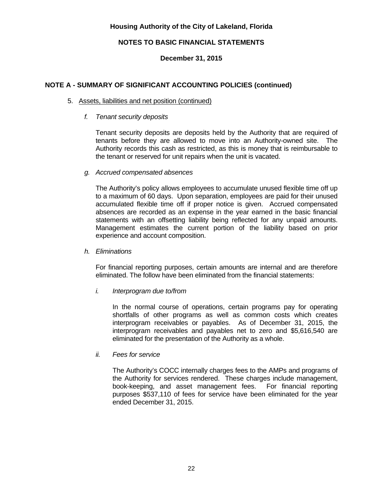### **NOTES TO BASIC FINANCIAL STATEMENTS**

### **December 31, 2015**

## **NOTE A - SUMMARY OF SIGNIFICANT ACCOUNTING POLICIES (continued)**

#### 5. Assets, liabilities and net position (continued)

*f. Tenant security deposits* 

Tenant security deposits are deposits held by the Authority that are required of tenants before they are allowed to move into an Authority-owned site. The Authority records this cash as restricted, as this is money that is reimbursable to the tenant or reserved for unit repairs when the unit is vacated.

#### *g. Accrued compensated absences*

The Authority's policy allows employees to accumulate unused flexible time off up to a maximum of 60 days. Upon separation, employees are paid for their unused accumulated flexible time off if proper notice is given. Accrued compensated absences are recorded as an expense in the year earned in the basic financial statements with an offsetting liability being reflected for any unpaid amounts. Management estimates the current portion of the liability based on prior experience and account composition.

#### *h. Eliminations*

For financial reporting purposes, certain amounts are internal and are therefore eliminated. The follow have been eliminated from the financial statements:

#### *i. Interprogram due to/from*

In the normal course of operations, certain programs pay for operating shortfalls of other programs as well as common costs which creates interprogram receivables or payables. As of December 31, 2015, the interprogram receivables and payables net to zero and \$5,616,540 are eliminated for the presentation of the Authority as a whole.

#### *ii. Fees for service*

The Authority's COCC internally charges fees to the AMPs and programs of the Authority for services rendered. These charges include management, book-keeping, and asset management fees. For financial reporting purposes \$537,110 of fees for service have been eliminated for the year ended December 31, 2015.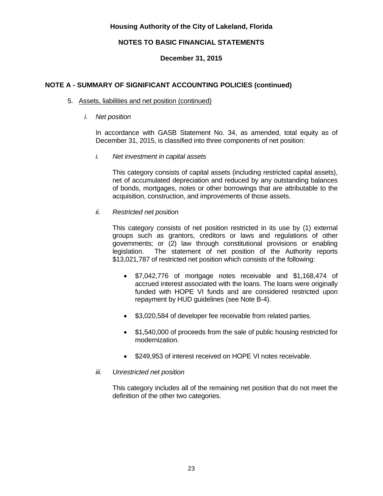## **NOTES TO BASIC FINANCIAL STATEMENTS**

## **December 31, 2015**

# **NOTE A - SUMMARY OF SIGNIFICANT ACCOUNTING POLICIES (continued)**

#### 5. Assets, liabilities and net position (continued)

*i. Net position* 

In accordance with GASB Statement No. 34, as amended, total equity as of December 31, 2015, is classified into three components of net position:

*i. Net investment in capital assets* 

This category consists of capital assets (including restricted capital assets), net of accumulated depreciation and reduced by any outstanding balances of bonds, mortgages, notes or other borrowings that are attributable to the acquisition, construction, and improvements of those assets.

*ii. Restricted net position* 

This category consists of net position restricted in its use by (1) external groups such as grantors, creditors or laws and regulations of other governments; or (2) law through constitutional provisions or enabling legislation. The statement of net position of the Authority reports \$13,021,787 of restricted net position which consists of the following:

- \$7,042,776 of mortgage notes receivable and \$1,168,474 of accrued interest associated with the loans. The loans were originally funded with HOPE VI funds and are considered restricted upon repayment by HUD guidelines (see Note B-4).
- \$3,020,584 of developer fee receivable from related parties.
- \$1,540,000 of proceeds from the sale of public housing restricted for modernization.
- \$249,953 of interest received on HOPE VI notes receivable.

#### *iii. Unrestricted net position*

This category includes all of the remaining net position that do not meet the definition of the other two categories.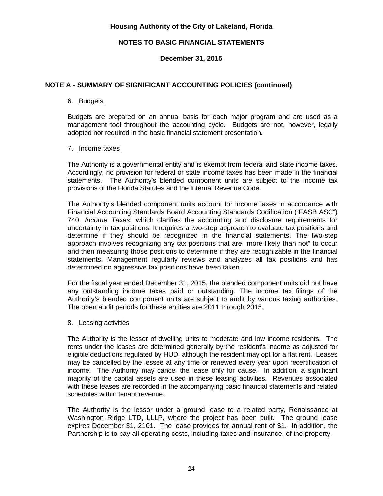### **NOTES TO BASIC FINANCIAL STATEMENTS**

## **December 31, 2015**

## **NOTE A - SUMMARY OF SIGNIFICANT ACCOUNTING POLICIES (continued)**

#### 6. Budgets

Budgets are prepared on an annual basis for each major program and are used as a management tool throughout the accounting cycle. Budgets are not, however, legally adopted nor required in the basic financial statement presentation.

#### 7. Income taxes

The Authority is a governmental entity and is exempt from federal and state income taxes. Accordingly, no provision for federal or state income taxes has been made in the financial statements. The Authority's blended component units are subject to the income tax provisions of the Florida Statutes and the Internal Revenue Code.

The Authority's blended component units account for income taxes in accordance with Financial Accounting Standards Board Accounting Standards Codification ("FASB ASC") 740, *Income Taxes*, which clarifies the accounting and disclosure requirements for uncertainty in tax positions. It requires a two-step approach to evaluate tax positions and determine if they should be recognized in the financial statements. The two-step approach involves recognizing any tax positions that are "more likely than not" to occur and then measuring those positions to determine if they are recognizable in the financial statements. Management regularly reviews and analyzes all tax positions and has determined no aggressive tax positions have been taken.

For the fiscal year ended December 31, 2015, the blended component units did not have any outstanding income taxes paid or outstanding. The income tax filings of the Authority's blended component units are subject to audit by various taxing authorities. The open audit periods for these entities are 2011 through 2015.

#### 8. Leasing activities

The Authority is the lessor of dwelling units to moderate and low income residents. The rents under the leases are determined generally by the resident's income as adjusted for eligible deductions regulated by HUD, although the resident may opt for a flat rent. Leases may be cancelled by the lessee at any time or renewed every year upon recertification of income. The Authority may cancel the lease only for cause. In addition, a significant majority of the capital assets are used in these leasing activities. Revenues associated with these leases are recorded in the accompanying basic financial statements and related schedules within tenant revenue.

The Authority is the lessor under a ground lease to a related party, Renaissance at Washington Ridge LTD, LLLP, where the project has been built. The ground lease expires December 31, 2101. The lease provides for annual rent of \$1. In addition, the Partnership is to pay all operating costs, including taxes and insurance, of the property.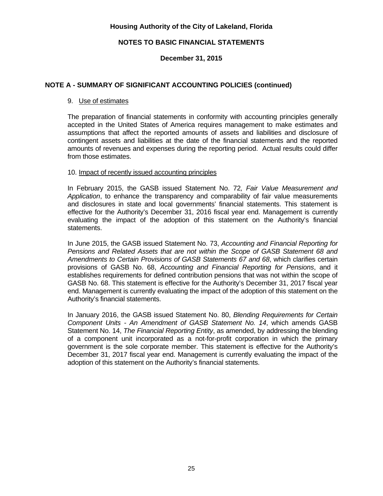### **NOTES TO BASIC FINANCIAL STATEMENTS**

## **December 31, 2015**

## **NOTE A - SUMMARY OF SIGNIFICANT ACCOUNTING POLICIES (continued)**

#### 9. Use of estimates

The preparation of financial statements in conformity with accounting principles generally accepted in the United States of America requires management to make estimates and assumptions that affect the reported amounts of assets and liabilities and disclosure of contingent assets and liabilities at the date of the financial statements and the reported amounts of revenues and expenses during the reporting period. Actual results could differ from those estimates.

#### 10. Impact of recently issued accounting principles

In February 2015, the GASB issued Statement No. 72*, Fair Value Measurement and Application*, to enhance the transparency and comparability of fair value measurements and disclosures in state and local governments' financial statements. This statement is effective for the Authority's December 31, 2016 fiscal year end. Management is currently evaluating the impact of the adoption of this statement on the Authority's financial statements.

In June 2015, the GASB issued Statement No. 73, *Accounting and Financial Reporting for Pensions and Related Assets that are not within the Scope of GASB Statement 68 and Amendments to Certain Provisions of GASB Statements 67 and 68*, which clarifies certain provisions of GASB No. 68, *Accounting and Financial Reporting for Pensions*, and it establishes requirements for defined contribution pensions that was not within the scope of GASB No. 68. This statement is effective for the Authority's December 31, 2017 fiscal year end. Management is currently evaluating the impact of the adoption of this statement on the Authority's financial statements.

In January 2016, the GASB issued Statement No. 80, *Blending Requirements for Certain Component Units - An Amendment of GASB Statement No. 14*, which amends GASB Statement No. 14, *The Financial Reporting Entity*, as amended, by addressing the blending of a component unit incorporated as a not-for-profit corporation in which the primary government is the sole corporate member. This statement is effective for the Authority's December 31, 2017 fiscal year end. Management is currently evaluating the impact of the adoption of this statement on the Authority's financial statements.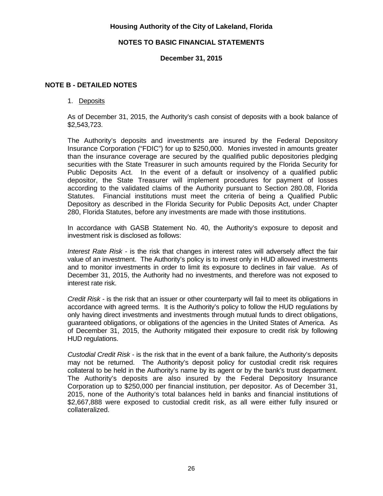### **NOTES TO BASIC FINANCIAL STATEMENTS**

## **December 31, 2015**

## **NOTE B - DETAILED NOTES**

1. Deposits

As of December 31, 2015, the Authority's cash consist of deposits with a book balance of \$2,543,723.

The Authority's deposits and investments are insured by the Federal Depository Insurance Corporation ("FDIC") for up to \$250,000. Monies invested in amounts greater than the insurance coverage are secured by the qualified public depositories pledging securities with the State Treasurer in such amounts required by the Florida Security for Public Deposits Act. In the event of a default or insolvency of a qualified public depositor, the State Treasurer will implement procedures for payment of losses according to the validated claims of the Authority pursuant to Section 280.08, Florida Statutes. Financial institutions must meet the criteria of being a Qualified Public Depository as described in the Florida Security for Public Deposits Act, under Chapter 280, Florida Statutes, before any investments are made with those institutions.

In accordance with GASB Statement No. 40, the Authority's exposure to deposit and investment risk is disclosed as follows:

*Interest Rate Risk* - is the risk that changes in interest rates will adversely affect the fair value of an investment. The Authority's policy is to invest only in HUD allowed investments and to monitor investments in order to limit its exposure to declines in fair value. As of December 31, 2015, the Authority had no investments, and therefore was not exposed to interest rate risk.

*Credit Risk* - is the risk that an issuer or other counterparty will fail to meet its obligations in accordance with agreed terms. It is the Authority's policy to follow the HUD regulations by only having direct investments and investments through mutual funds to direct obligations, guaranteed obligations, or obligations of the agencies in the United States of America. As of December 31, 2015, the Authority mitigated their exposure to credit risk by following HUD regulations.

*Custodial Credit Risk* - is the risk that in the event of a bank failure, the Authority's deposits may not be returned. The Authority's deposit policy for custodial credit risk requires collateral to be held in the Authority's name by its agent or by the bank's trust department. The Authority's deposits are also insured by the Federal Depository Insurance Corporation up to \$250,000 per financial institution, per depositor. As of December 31, 2015, none of the Authority's total balances held in banks and financial institutions of \$2,667,888 were exposed to custodial credit risk, as all were either fully insured or collateralized.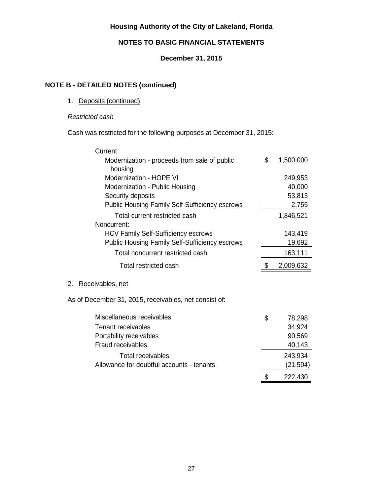# **NOTES TO BASIC FINANCIAL STATEMENTS**

# **December 31, 2015**

# **NOTE B - DETAILED NOTES (continued)**

# 1. Deposits (continued)

#### *Restricted cash*

Cash was restricted for the following purposes at December 31, 2015:

| Current:                                                |                 |
|---------------------------------------------------------|-----------------|
| Modernization - proceeds from sale of public<br>housing | \$<br>1,500,000 |
| Modernization - HOPE VI                                 | 249,953         |
| Modernization - Public Housing                          | 40,000          |
| Security deposits                                       | 53,813          |
| <b>Public Housing Family Self-Sufficiency escrows</b>   | 2,755           |
| Total current restricted cash                           | 1,846,521       |
| Noncurrent:                                             |                 |
| HCV Family Self-Sufficiency escrows                     | 143,419         |
| <b>Public Housing Family Self-Sufficiency escrows</b>   | 19,692          |
| Total noncurrent restricted cash                        | 163,111         |
| <b>Total restricted cash</b>                            | 2,009,632       |
| Receivables, net<br>2.                                  |                 |
| As of December 31, 2015, receivables, net consist of:   |                 |
| Miscellaneous receivables                               | \$<br>78,298    |
| Tenant receivables                                      | 34,924          |
| Portability receivables                                 | 90,569          |
| <b>Fraud receivables</b>                                | 40,143          |
| <b>Total receivables</b>                                | 243,934         |
| Allowance for doubtful accounts - tenants               | (21, 504)       |
|                                                         | \$<br>222,430   |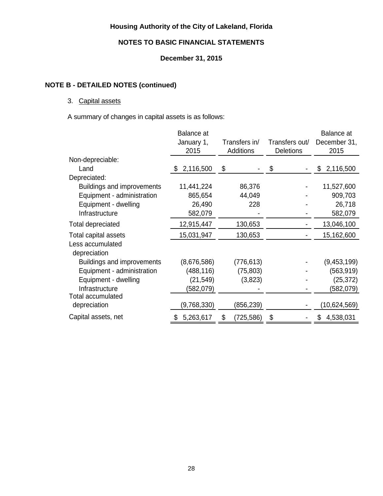# **NOTES TO BASIC FINANCIAL STATEMENTS**

## **December 31, 2015**

# **NOTE B - DETAILED NOTES (continued)**

# 3. Capital assets

A summary of changes in capital assets is as follows:

|                                   | Balance at      |                  |                  | <b>Balance</b> at |
|-----------------------------------|-----------------|------------------|------------------|-------------------|
|                                   | January 1,      | Transfers in/    | Transfers out/   | December 31,      |
|                                   | 2015            | Additions        | <b>Deletions</b> | 2015              |
| Non-depreciable:                  |                 |                  |                  |                   |
| Land                              | 2,116,500<br>\$ | \$               | \$               | 2,116,500<br>S.   |
| Depreciated:                      |                 |                  |                  |                   |
| Buildings and improvements        | 11,441,224      | 86,376           |                  | 11,527,600        |
| Equipment - administration        | 865,654         | 44,049           |                  | 909,703           |
| Equipment - dwelling              | 26,490          | 228              |                  | 26,718            |
| Infrastructure                    | 582,079         |                  |                  | 582,079           |
| Total depreciated                 | 12,915,447      | 130,653          |                  | 13,046,100        |
| Total capital assets              | 15,031,947      | 130,653          |                  | 15,162,600        |
| Less accumulated<br>depreciation  |                 |                  |                  |                   |
| <b>Buildings and improvements</b> | (8,676,586)     | (776, 613)       |                  | (9,453,199)       |
| Equipment - administration        | (488, 116)      | (75, 803)        |                  | (563, 919)        |
| Equipment - dwelling              | (21, 549)       | (3,823)          |                  | (25, 372)         |
| Infrastructure                    | (582,079)       |                  |                  | (582, 079)        |
| <b>Total accumulated</b>          |                 |                  |                  |                   |
| depreciation                      | (9,768,330)     | (856,239)        |                  | (10,624,569)      |
| Capital assets, net               | 5,263,617       | \$<br>(725, 586) | \$               | 4,538,031<br>\$   |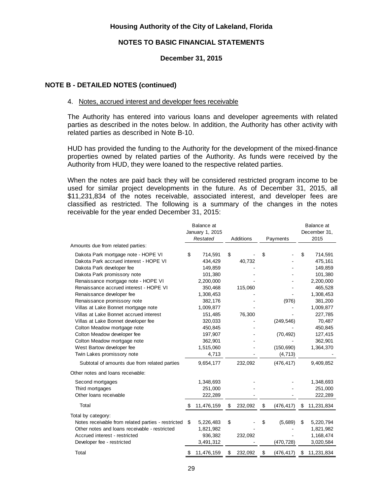#### **NOTES TO BASIC FINANCIAL STATEMENTS**

#### **December 31, 2015**

#### **NOTE B - DETAILED NOTES (continued)**

#### 4. Notes, accrued interest and developer fees receivable

The Authority has entered into various loans and developer agreements with related parties as described in the notes below. In addition, the Authority has other activity with related parties as described in Note B-10.

HUD has provided the funding to the Authority for the development of the mixed-finance properties owned by related parties of the Authority. As funds were received by the Authority from HUD, they were loaned to the respective related parties.

When the notes are paid back they will be considered restricted program income to be used for similar project developments in the future. As of December 31, 2015, all \$11,231,834 of the notes receivable, associated interest, and developer fees are classified as restricted. The following is a summary of the changes in the notes receivable for the year ended December 31, 2015:

|                                                    |          | Balance at      |           |         |          |            |    | Balance at   |
|----------------------------------------------------|----------|-----------------|-----------|---------|----------|------------|----|--------------|
|                                                    |          | January 1, 2015 |           |         |          |            |    | December 31, |
|                                                    | Restated |                 | Additions |         | Payments |            |    | 2015         |
| Amounts due from related parties:                  |          |                 |           |         |          |            |    |              |
| Dakota Park mortgage note - HOPE VI                | \$       | 714,591         | \$        |         | \$       |            | \$ | 714,591      |
| Dakota Park accrued interest - HOPE VI             |          | 434,429         |           | 40,732  |          |            |    | 475,161      |
| Dakota Park developer fee                          |          | 149,859         |           |         |          |            |    | 149,859      |
| Dakota Park promissory note                        |          | 101,380         |           |         |          |            |    | 101,380      |
| Renaissance mortgage note - HOPE VI                |          | 2,200,000       |           |         |          |            |    | 2,200,000    |
| Renaissance accrued interest - HOPE VI             |          | 350,468         |           | 115,060 |          |            |    | 465,528      |
| Renaissance developer fee                          |          | 1,308,453       |           |         |          |            |    | 1,308,453    |
| Renaissance promissory note                        |          | 382,176         |           |         |          | (976)      |    | 381,200      |
| Villas at Lake Bonnet mortgage note                |          | 1,009,877       |           |         |          |            |    | 1,009,877    |
| Villas at Lake Bonnet accrued interest             |          | 151,485         |           | 76,300  |          |            |    | 227,785      |
| Villas at Lake Bonnet developer fee                |          | 320,033         |           |         |          | (249, 546) |    | 70,487       |
| Colton Meadow mortgage note                        |          | 450,845         |           |         |          |            |    | 450,845      |
| Colton Meadow developer fee                        |          | 197,907         |           |         |          | (70, 492)  |    | 127,415      |
| Colton Meadow mortgage note                        |          | 362,901         |           |         |          |            |    | 362,901      |
| West Bartow developer fee                          |          | 1,515,060       |           |         |          | (150, 690) |    | 1,364,370    |
| Twin Lakes promissory note                         |          | 4,713           |           |         |          | (4, 713)   |    |              |
| Subtotal of amounts due from related parties       |          | 9,654,177       |           | 232,092 |          | (476, 417) |    | 9,409,852    |
| Other notes and loans receivable:                  |          |                 |           |         |          |            |    |              |
| Second mortgages                                   |          | 1,348,693       |           |         |          |            |    | 1,348,693    |
| Third mortgages                                    |          | 251,000         |           |         |          |            |    | 251,000      |
| Other loans receivable                             |          | 222,289         |           |         |          |            |    | 222,289      |
| Total                                              |          | 11,476,159      | \$        | 232,092 | \$       | (476, 417) | S  | 11,231,834   |
| Total by category:                                 |          |                 |           |         |          |            |    |              |
| Notes receivable from related parties - restricted | \$       | 5,226,483       | \$        |         | \$       | (5,689)    | \$ | 5,220,794    |
| Other notes and loans receivable - restricted      |          | 1,821,982       |           |         |          |            |    | 1,821,982    |
| Accrued interest - restricted                      |          | 936,382         |           | 232,092 |          |            |    | 1,168,474    |
| Developer fee - restricted                         |          | 3,491,312       |           |         |          | (470, 728) |    | 3,020,584    |
| Total                                              | S        | 11,476,159      | \$        | 232,092 | \$       | (476, 417) | S  | 11,231,834   |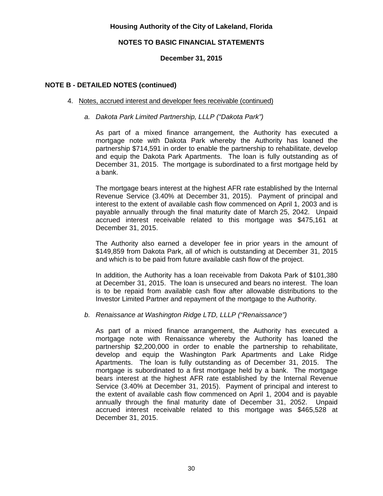### **NOTES TO BASIC FINANCIAL STATEMENTS**

**December 31, 2015**

## **NOTE B - DETAILED NOTES (continued)**

#### 4. Notes, accrued interest and developer fees receivable (continued)

#### *a. Dakota Park Limited Partnership, LLLP ("Dakota Park")*

As part of a mixed finance arrangement, the Authority has executed a mortgage note with Dakota Park whereby the Authority has loaned the partnership \$714,591 in order to enable the partnership to rehabilitate, develop and equip the Dakota Park Apartments. The loan is fully outstanding as of December 31, 2015. The mortgage is subordinated to a first mortgage held by a bank.

The mortgage bears interest at the highest AFR rate established by the Internal Revenue Service (3.40% at December 31, 2015). Payment of principal and interest to the extent of available cash flow commenced on April 1, 2003 and is payable annually through the final maturity date of March 25, 2042. Unpaid accrued interest receivable related to this mortgage was \$475,161 at December 31, 2015.

The Authority also earned a developer fee in prior years in the amount of \$149,859 from Dakota Park, all of which is outstanding at December 31, 2015 and which is to be paid from future available cash flow of the project.

In addition, the Authority has a loan receivable from Dakota Park of \$101,380 at December 31, 2015. The loan is unsecured and bears no interest. The loan is to be repaid from available cash flow after allowable distributions to the Investor Limited Partner and repayment of the mortgage to the Authority.

#### *b. Renaissance at Washington Ridge LTD, LLLP ("Renaissance")*

As part of a mixed finance arrangement, the Authority has executed a mortgage note with Renaissance whereby the Authority has loaned the partnership \$2,200,000 in order to enable the partnership to rehabilitate, develop and equip the Washington Park Apartments and Lake Ridge Apartments. The loan is fully outstanding as of December 31, 2015. The mortgage is subordinated to a first mortgage held by a bank. The mortgage bears interest at the highest AFR rate established by the Internal Revenue Service (3.40% at December 31, 2015). Payment of principal and interest to the extent of available cash flow commenced on April 1, 2004 and is payable annually through the final maturity date of December 31, 2052. Unpaid accrued interest receivable related to this mortgage was \$465,528 at December 31, 2015.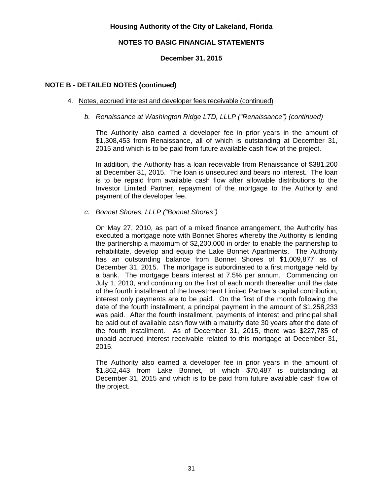## **NOTES TO BASIC FINANCIAL STATEMENTS**

**December 31, 2015**

## **NOTE B - DETAILED NOTES (continued)**

#### 4. Notes, accrued interest and developer fees receivable (continued)

*b. Renaissance at Washington Ridge LTD, LLLP ("Renaissance") (continued)* 

The Authority also earned a developer fee in prior years in the amount of \$1,308,453 from Renaissance, all of which is outstanding at December 31, 2015 and which is to be paid from future available cash flow of the project.

In addition, the Authority has a loan receivable from Renaissance of \$381,200 at December 31, 2015. The loan is unsecured and bears no interest. The loan is to be repaid from available cash flow after allowable distributions to the Investor Limited Partner, repayment of the mortgage to the Authority and payment of the developer fee.

*c. Bonnet Shores, LLLP ("Bonnet Shores")* 

On May 27, 2010, as part of a mixed finance arrangement, the Authority has executed a mortgage note with Bonnet Shores whereby the Authority is lending the partnership a maximum of \$2,200,000 in order to enable the partnership to rehabilitate, develop and equip the Lake Bonnet Apartments. The Authority has an outstanding balance from Bonnet Shores of \$1,009,877 as of December 31, 2015. The mortgage is subordinated to a first mortgage held by a bank. The mortgage bears interest at 7.5% per annum. Commencing on July 1, 2010, and continuing on the first of each month thereafter until the date of the fourth installment of the Investment Limited Partner's capital contribution, interest only payments are to be paid. On the first of the month following the date of the fourth installment, a principal payment in the amount of \$1,258,233 was paid. After the fourth installment, payments of interest and principal shall be paid out of available cash flow with a maturity date 30 years after the date of the fourth installment. As of December 31, 2015, there was \$227,785 of unpaid accrued interest receivable related to this mortgage at December 31, 2015.

The Authority also earned a developer fee in prior years in the amount of \$1,862,443 from Lake Bonnet, of which \$70,487 is outstanding at December 31, 2015 and which is to be paid from future available cash flow of the project.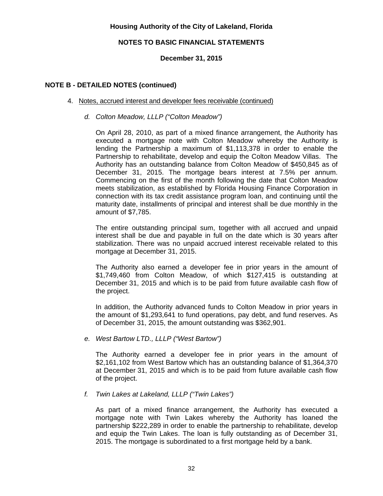### **NOTES TO BASIC FINANCIAL STATEMENTS**

**December 31, 2015**

# **NOTE B - DETAILED NOTES (continued)**

#### 4. Notes, accrued interest and developer fees receivable (continued)

*d. Colton Meadow, LLLP ("Colton Meadow")* 

On April 28, 2010, as part of a mixed finance arrangement, the Authority has executed a mortgage note with Colton Meadow whereby the Authority is lending the Partnership a maximum of \$1,113,378 in order to enable the Partnership to rehabilitate, develop and equip the Colton Meadow Villas. The Authority has an outstanding balance from Colton Meadow of \$450,845 as of December 31, 2015. The mortgage bears interest at 7.5% per annum. Commencing on the first of the month following the date that Colton Meadow meets stabilization, as established by Florida Housing Finance Corporation in connection with its tax credit assistance program loan, and continuing until the maturity date, installments of principal and interest shall be due monthly in the amount of \$7,785.

The entire outstanding principal sum, together with all accrued and unpaid interest shall be due and payable in full on the date which is 30 years after stabilization. There was no unpaid accrued interest receivable related to this mortgage at December 31, 2015.

The Authority also earned a developer fee in prior years in the amount of \$1,749,460 from Colton Meadow, of which \$127,415 is outstanding at December 31, 2015 and which is to be paid from future available cash flow of the project.

In addition, the Authority advanced funds to Colton Meadow in prior years in the amount of \$1,293,641 to fund operations, pay debt, and fund reserves. As of December 31, 2015, the amount outstanding was \$362,901.

#### *e. West Bartow LTD., LLLP ("West Bartow")*

The Authority earned a developer fee in prior years in the amount of \$2,161,102 from West Bartow which has an outstanding balance of \$1,364,370 at December 31, 2015 and which is to be paid from future available cash flow of the project.

#### *f. Twin Lakes at Lakeland, LLLP ("Twin Lakes")*

As part of a mixed finance arrangement, the Authority has executed a mortgage note with Twin Lakes whereby the Authority has loaned the partnership \$222,289 in order to enable the partnership to rehabilitate, develop and equip the Twin Lakes. The loan is fully outstanding as of December 31, 2015. The mortgage is subordinated to a first mortgage held by a bank.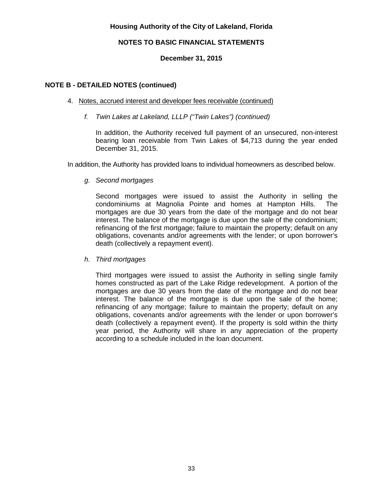## **NOTES TO BASIC FINANCIAL STATEMENTS**

**December 31, 2015**

## **NOTE B - DETAILED NOTES (continued)**

#### 4. Notes, accrued interest and developer fees receivable (continued)

*f. Twin Lakes at Lakeland, LLLP ("Twin Lakes") (continued)* 

In addition, the Authority received full payment of an unsecured, non-interest bearing loan receivable from Twin Lakes of \$4,713 during the year ended December 31, 2015.

In addition, the Authority has provided loans to individual homeowners as described below.

*g. Second mortgages* 

Second mortgages were issued to assist the Authority in selling the condominiums at Magnolia Pointe and homes at Hampton Hills. The mortgages are due 30 years from the date of the mortgage and do not bear interest. The balance of the mortgage is due upon the sale of the condominium; refinancing of the first mortgage; failure to maintain the property; default on any obligations, covenants and/or agreements with the lender; or upon borrower's death (collectively a repayment event).

*h. Third mortgages* 

Third mortgages were issued to assist the Authority in selling single family homes constructed as part of the Lake Ridge redevelopment. A portion of the mortgages are due 30 years from the date of the mortgage and do not bear interest. The balance of the mortgage is due upon the sale of the home; refinancing of any mortgage; failure to maintain the property; default on any obligations, covenants and/or agreements with the lender or upon borrower's death (collectively a repayment event). If the property is sold within the thirty year period, the Authority will share in any appreciation of the property according to a schedule included in the loan document.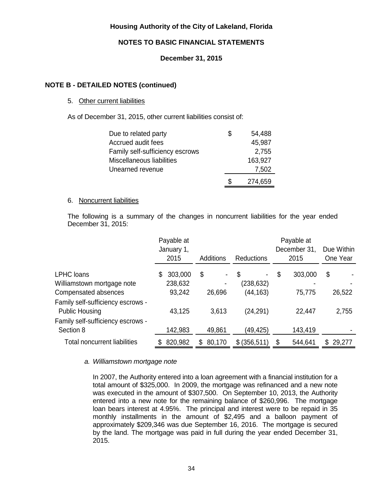## **NOTES TO BASIC FINANCIAL STATEMENTS**

## **December 31, 2015**

# **NOTE B - DETAILED NOTES (continued)**

#### 5. Other current liabilities

As of December 31, 2015, other current liabilities consist of:

| Due to related party            | \$ | 54,488  |
|---------------------------------|----|---------|
| Accrued audit fees              |    | 45,987  |
| Family self-sufficiency escrows |    | 2,755   |
| Miscellaneous liabilities       |    | 163,927 |
| Unearned revenue                |    | 7,502   |
|                                 | S  | 274,659 |

#### 6. Noncurrent liabilities

The following is a summary of the changes in noncurrent liabilities for the year ended December 31, 2015:

|                                     | Payable at<br>January 1,<br>2015 | Additions            | <b>Reductions</b>    | Payable at<br>December 31,<br>2015 | Due Within<br>One Year |  |
|-------------------------------------|----------------------------------|----------------------|----------------------|------------------------------------|------------------------|--|
| <b>LPHC</b> loans                   | 303,000<br>\$                    | \$<br>$\blacksquare$ | \$<br>$\blacksquare$ | 303,000<br>\$                      | \$                     |  |
| Williamstown mortgage note          | 238,632                          | $\blacksquare$       | (238,632)            |                                    |                        |  |
| Compensated absences                | 93,242                           | 26,696               | (44, 163)            | 75,775                             | 26,522                 |  |
| Family self-sufficiency escrows -   |                                  |                      |                      |                                    |                        |  |
| <b>Public Housing</b>               | 43,125                           | 3,613                | (24, 291)            | 22,447                             | 2,755                  |  |
| Family self-sufficiency escrows -   |                                  |                      |                      |                                    |                        |  |
| Section 8                           | 142,983                          | 49,861               | (49,425)             | 143,419                            |                        |  |
| <b>Total noncurrent liabilities</b> | 820,982<br>\$                    | \$<br>80,170         | \$ (356, 511)        | 544,641<br>\$                      | 29,277<br>S            |  |

#### *a. Williamstown mortgage note*

In 2007, the Authority entered into a loan agreement with a financial institution for a total amount of \$325,000. In 2009, the mortgage was refinanced and a new note was executed in the amount of \$307,500. On September 10, 2013, the Authority entered into a new note for the remaining balance of \$260,996. The mortgage loan bears interest at 4.95%. The principal and interest were to be repaid in 35 monthly installments in the amount of \$2,495 and a balloon payment of approximately \$209,346 was due September 16, 2016. The mortgage is secured by the land. The mortgage was paid in full during the year ended December 31, 2015.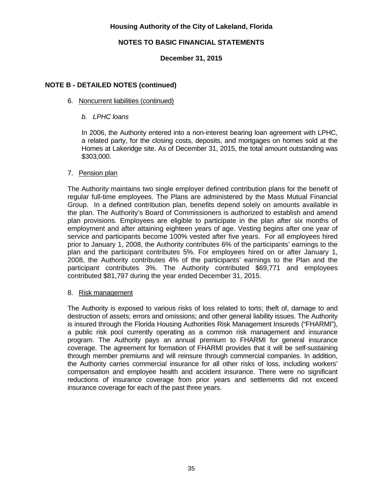## **NOTES TO BASIC FINANCIAL STATEMENTS**

## **December 31, 2015**

## **NOTE B - DETAILED NOTES (continued)**

## 6. Noncurrent liabilities (continued)

## *b. LPHC loans*

In 2006, the Authority entered into a non-interest bearing loan agreement with LPHC, a related party, for the closing costs, deposits, and mortgages on homes sold at the Homes at Lakeridge site. As of December 31, 2015, the total amount outstanding was \$303,000.

#### 7. Pension plan

The Authority maintains two single employer defined contribution plans for the benefit of regular full-time employees. The Plans are administered by the Mass Mutual Financial Group. In a defined contribution plan, benefits depend solely on amounts available in the plan. The Authority's Board of Commissioners is authorized to establish and amend plan provisions. Employees are eligible to participate in the plan after six months of employment and after attaining eighteen years of age. Vesting begins after one year of service and participants become 100% vested after five years. For all employees hired prior to January 1, 2008, the Authority contributes 6% of the participants' earnings to the plan and the participant contributes 5%. For employees hired on or after January 1, 2008, the Authority contributes 4% of the participants' earnings to the Plan and the participant contributes 3%. The Authority contributed \$69,771 and employees contributed \$81,797 during the year ended December 31, 2015.

## 8. Risk management

The Authority is exposed to various risks of loss related to torts; theft of, damage to and destruction of assets; errors and omissions; and other general liability issues. The Authority is insured through the Florida Housing Authorities Risk Management Insureds ("FHARMI"), a public risk pool currently operating as a common risk management and insurance program. The Authority pays an annual premium to FHARMI for general insurance coverage. The agreement for formation of FHARMI provides that it will be self-sustaining through member premiums and will reinsure through commercial companies. In addition, the Authority carries commercial insurance for all other risks of loss, including workers' compensation and employee health and accident insurance. There were no significant reductions of insurance coverage from prior years and settlements did not exceed insurance coverage for each of the past three years.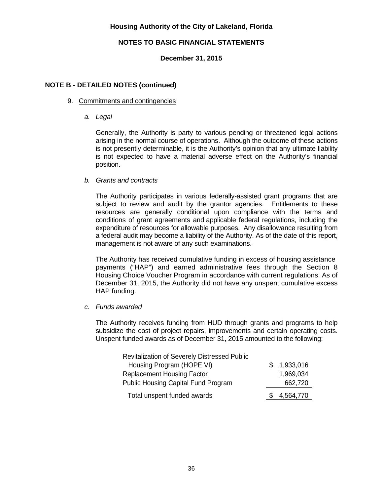## **NOTES TO BASIC FINANCIAL STATEMENTS**

#### **December 31, 2015**

## **NOTE B - DETAILED NOTES (continued)**

#### 9. Commitments and contingencies

*a. Legal* 

Generally, the Authority is party to various pending or threatened legal actions arising in the normal course of operations. Although the outcome of these actions is not presently determinable, it is the Authority's opinion that any ultimate liability is not expected to have a material adverse effect on the Authority's financial position.

#### *b. Grants and contracts*

The Authority participates in various federally-assisted grant programs that are subject to review and audit by the grantor agencies. Entitlements to these resources are generally conditional upon compliance with the terms and conditions of grant agreements and applicable federal regulations, including the expenditure of resources for allowable purposes. Any disallowance resulting from a federal audit may become a liability of the Authority. As of the date of this report, management is not aware of any such examinations.

The Authority has received cumulative funding in excess of housing assistance payments ("HAP") and earned administrative fees through the Section 8 Housing Choice Voucher Program in accordance with current regulations. As of December 31, 2015, the Authority did not have any unspent cumulative excess HAP funding.

#### *c. Funds awarded*

The Authority receives funding from HUD through grants and programs to help subsidize the cost of project repairs, improvements and certain operating costs. Unspent funded awards as of December 31, 2015 amounted to the following:

| Revitalization of Severely Distressed Public |     |             |
|----------------------------------------------|-----|-------------|
| Housing Program (HOPE VI)                    |     | \$1,933,016 |
| <b>Replacement Housing Factor</b>            |     | 1,969,034   |
| <b>Public Housing Capital Fund Program</b>   |     | 662,720     |
| Total unspent funded awards                  | \$. | 4,564,770   |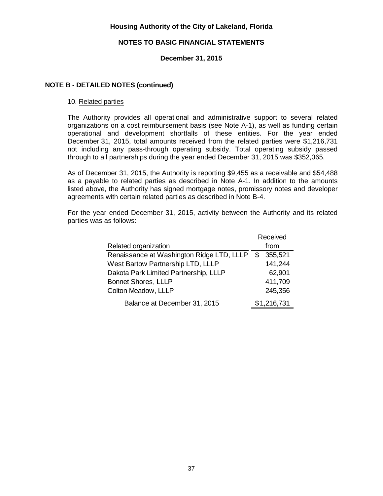### **NOTES TO BASIC FINANCIAL STATEMENTS**

#### **December 31, 2015**

## **NOTE B - DETAILED NOTES (continued)**

#### 10. Related parties

The Authority provides all operational and administrative support to several related organizations on a cost reimbursement basis (see Note A-1), as well as funding certain operational and development shortfalls of these entities. For the year ended December 31, 2015, total amounts received from the related parties were \$1,216,731 not including any pass-through operating subsidy. Total operating subsidy passed through to all partnerships during the year ended December 31, 2015 was \$352,065.

As of December 31, 2015, the Authority is reporting \$9,455 as a receivable and \$54,488 as a payable to related parties as described in Note A-1. In addition to the amounts listed above, the Authority has signed mortgage notes, promissory notes and developer agreements with certain related parties as described in Note B-4.

For the year ended December 31, 2015, activity between the Authority and its related parties was as follows:

|                                           | Received      |
|-------------------------------------------|---------------|
| Related organization                      | from          |
| Renaissance at Washington Ridge LTD, LLLP | \$<br>355,521 |
| West Bartow Partnership LTD, LLLP         | 141,244       |
| Dakota Park Limited Partnership, LLLP     | 62,901        |
| <b>Bonnet Shores, LLLP</b>                | 411,709       |
| Colton Meadow, LLLP                       | 245,356       |
| Balance at December 31, 2015              | \$1,216,731   |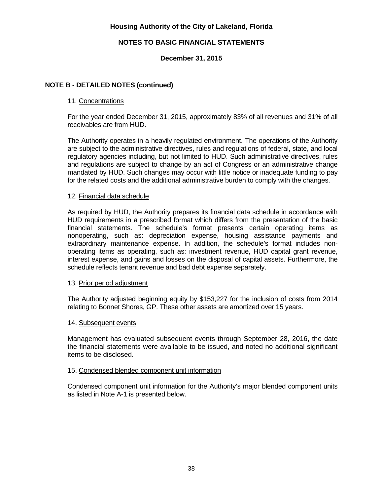## **NOTES TO BASIC FINANCIAL STATEMENTS**

## **December 31, 2015**

# **NOTE B - DETAILED NOTES (continued)**

#### 11. Concentrations

For the year ended December 31, 2015, approximately 83% of all revenues and 31% of all receivables are from HUD.

The Authority operates in a heavily regulated environment. The operations of the Authority are subject to the administrative directives, rules and regulations of federal, state, and local regulatory agencies including, but not limited to HUD. Such administrative directives, rules and regulations are subject to change by an act of Congress or an administrative change mandated by HUD. Such changes may occur with little notice or inadequate funding to pay for the related costs and the additional administrative burden to comply with the changes.

#### 12. Financial data schedule

As required by HUD, the Authority prepares its financial data schedule in accordance with HUD requirements in a prescribed format which differs from the presentation of the basic financial statements. The schedule's format presents certain operating items as nonoperating, such as: depreciation expense, housing assistance payments and extraordinary maintenance expense. In addition, the schedule's format includes nonoperating items as operating, such as: investment revenue, HUD capital grant revenue, interest expense, and gains and losses on the disposal of capital assets. Furthermore, the schedule reflects tenant revenue and bad debt expense separately.

#### 13. Prior period adjustment

The Authority adjusted beginning equity by \$153,227 for the inclusion of costs from 2014 relating to Bonnet Shores, GP. These other assets are amortized over 15 years.

#### 14. Subsequent events

Management has evaluated subsequent events through September 28, 2016, the date the financial statements were available to be issued, and noted no additional significant items to be disclosed.

#### 15. Condensed blended component unit information

Condensed component unit information for the Authority's major blended component units as listed in Note A-1 is presented below.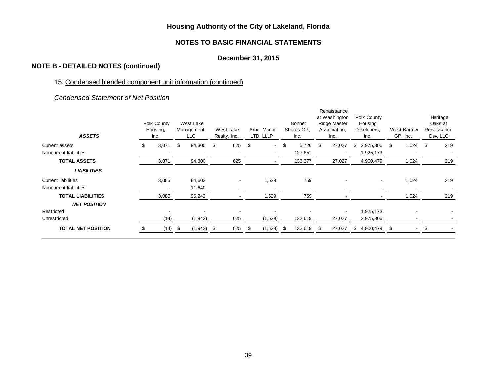#### **NOTES TO BASIC FINANCIAL STATEMENTS**

# **December 31, 2015**

## **NOTE B - DETAILED NOTES (continued)**

# 15. Condensed blended component unit information (continued)

#### *Condensed Statement of Net Position*

| <b>ASSETS</b>              | Polk County<br>West Lake<br>Housing,<br>Management,<br><b>LLC</b><br>Inc. |               | West Lake<br>Realty, Inc. | Arbor Manor<br>LTD, LLLP | <b>Bonnet</b><br>Shores GP.<br>Inc. | Renaissance<br>at Washington<br>Ridge Master<br>Association.<br>Inc. | Polk County<br>Housing<br>Developers,<br>Inc. | <b>West Bartow</b><br>GP, Inc. | Heritage<br>Oaks at<br>Renaissance<br>Dev, LLC |
|----------------------------|---------------------------------------------------------------------------|---------------|---------------------------|--------------------------|-------------------------------------|----------------------------------------------------------------------|-----------------------------------------------|--------------------------------|------------------------------------------------|
| Current assets             | 3,071<br>\$                                                               | \$<br>94,300  | 625<br>\$                 | \$<br>$\sim 100$         | 5,726<br>- \$                       | \$<br>27,027                                                         | 2,975,306<br>S                                | 1,024<br>S                     | 219<br>-\$                                     |
| Noncurrent liabilities     |                                                                           |               |                           | ٠                        | 127,651                             |                                                                      | 1,925,173                                     |                                |                                                |
| <b>TOTAL ASSETS</b>        | 3,071                                                                     | 94,300        | 625                       | $\overline{\phantom{a}}$ | 133,377                             | 27,027                                                               | 4,900,479                                     | 1,024                          | 219                                            |
| <b>LIABILITIES</b>         |                                                                           |               |                           |                          |                                     |                                                                      |                                               |                                |                                                |
| <b>Current liabilities</b> | 3,085                                                                     | 84,602        |                           | 1,529                    | 759                                 |                                                                      | $\sim$                                        | 1,024                          | 219                                            |
| Noncurrent liabilities     |                                                                           | 11,640        |                           |                          |                                     |                                                                      |                                               |                                |                                                |
| <b>TOTAL LIABILITIES</b>   | 3,085                                                                     | 96,242        | $\overline{\phantom{0}}$  | 1,529                    | 759                                 |                                                                      | $\overline{\phantom{a}}$                      | 1,024                          | 219                                            |
| <b>NET POSITION</b>        |                                                                           |               |                           |                          |                                     |                                                                      |                                               |                                |                                                |
| Restricted                 |                                                                           |               |                           |                          |                                     |                                                                      | 1,925,173                                     |                                |                                                |
| Unrestricted               | (14)                                                                      | (1, 942)      | 625                       | (1,529)                  | 132,618                             | 27,027                                                               | 2,975,306                                     |                                |                                                |
| <b>TOTAL NET POSITION</b>  | (14)                                                                      | \$<br>(1,942) | 625<br>- \$               | £.<br>(1,529)            | 132,618                             | 27,027                                                               | 4,900,479<br>\$.                              |                                |                                                |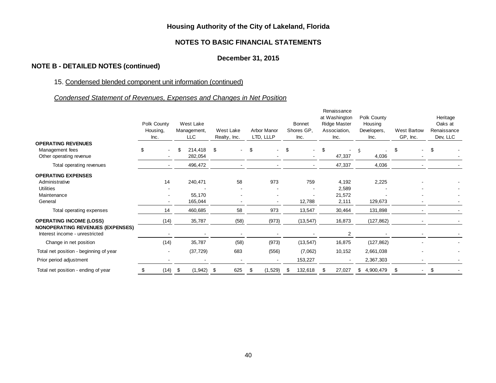#### **NOTES TO BASIC FINANCIAL STATEMENTS**

## **December 31, 2015**

# **NOTE B - DETAILED NOTES (continued)**

# 15. Condensed blended component unit information (continued)

# *Condensed Statement of Revenues, Expenses and Changes in Net Position*

|                                                                                                             | Polk County<br>Housing,<br>Inc. |        | West Lake<br>Management,<br><b>LLC</b> |                              | West Lake<br>Realty, Inc. |                                  | <b>Arbor Manor</b><br>LTD, LLLP |         | <b>Bonnet</b><br>Shores GP,<br>Inc. |                    | Renaissance<br>at Washington<br><b>Ridge Master</b><br>Association.<br>Inc. |                                   | Polk County<br>Housing<br>Developers,<br>Inc. | West Bartow<br>GP, Inc. | Heritage<br>Oaks at<br>Renaissance<br>Dev, LLC |
|-------------------------------------------------------------------------------------------------------------|---------------------------------|--------|----------------------------------------|------------------------------|---------------------------|----------------------------------|---------------------------------|---------|-------------------------------------|--------------------|-----------------------------------------------------------------------------|-----------------------------------|-----------------------------------------------|-------------------------|------------------------------------------------|
| <b>OPERATING REVENUES</b><br>Management fees<br>Other operating revenue                                     | \$                              | $\sim$ | \$.                                    | 214,418<br>282,054           | \$                        | $\overline{\phantom{a}}$         | \$                              |         | $-5$                                | $\sim$ $-$         | \$                                                                          | $\blacksquare$<br>47,337          | Ś.<br>$\overline{a}$<br>4,036                 | \$<br>$\blacksquare$    | \$                                             |
| Total operating revenues                                                                                    |                                 |        |                                        | 496,472                      |                           |                                  |                                 |         |                                     |                    |                                                                             | 47,337                            | 4,036                                         |                         |                                                |
| <b>OPERATING EXPENSES</b><br>Administrative<br><b>Utilities</b><br>Maintenance<br>General                   |                                 | 14     |                                        | 240,471<br>55,170<br>165,044 |                           | 58                               |                                 | 973     |                                     | 759<br>12,788      |                                                                             | 4,192<br>2,589<br>21,572<br>2,111 | 2,225<br>129,673                              |                         |                                                |
| Total operating expenses                                                                                    |                                 | 14     |                                        | 460,685                      |                           | 58                               |                                 | 973     |                                     | 13,547             |                                                                             | 30,464                            | 131,898                                       |                         |                                                |
| <b>OPERATING INCOME (LOSS)</b><br><b>NONOPERATING REVENUES (EXPENSES)</b><br>Interest income - unrestricted |                                 | (14)   |                                        | 35,787                       |                           | (58)<br>$\overline{\phantom{a}}$ |                                 | (973)   |                                     | (13, 547)          |                                                                             | 16,873<br>$\overline{2}$          | (127, 862)                                    |                         |                                                |
| Change in net position                                                                                      |                                 | (14)   |                                        | 35,787                       |                           | (58)                             |                                 | (973)   |                                     | (13, 547)          |                                                                             | 16,875                            | (127, 862)                                    |                         |                                                |
| Total net position - beginning of year<br>Prior period adjustment                                           |                                 |        |                                        | (37, 729)                    |                           | 683<br>٠                         |                                 | (556)   |                                     | (7,062)<br>153,227 |                                                                             | 10,152                            | 2,661,038<br>2,367,303                        |                         |                                                |
| Total net position - ending of year                                                                         | \$                              | (14)   | \$                                     | (1, 942)                     | \$                        | 625                              | -\$                             | (1,529) |                                     | 132,618            | S                                                                           | 27,027                            | \$4,900,479                                   | \$                      | \$                                             |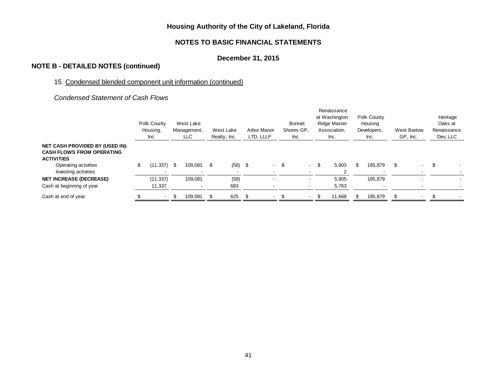#### **NOTES TO BASIC FINANCIAL STATEMENTS**

# **December 31, 2015**

## **NOTE B - DETAILED NOTES (continued)**

# 15. Condensed blended component unit information (continued)

#### *Condensed Statement of Cash Flows*

|                                                                                                 | Polk County<br>Housing,<br>Inc. |        |      | West Lake<br>Management,<br>LLC | West Lake<br>Realty, Inc. | Arbor Manor<br>LTD, LLLP |                          | <b>Bonnet</b><br>Shores GP.<br>Inc. |                          |      | Renaissance<br>at Washington<br><b>Ridge Master</b><br>Association.<br>Inc. |     | Polk County<br>Housing<br>Developers,<br>Inc. | <b>West Bartow</b><br>GP, Inc. |                          | Heritage<br>Oaks at<br>Renaissance<br>Dev, LLC |  |
|-------------------------------------------------------------------------------------------------|---------------------------------|--------|------|---------------------------------|---------------------------|--------------------------|--------------------------|-------------------------------------|--------------------------|------|-----------------------------------------------------------------------------|-----|-----------------------------------------------|--------------------------------|--------------------------|------------------------------------------------|--|
| <b>NET CASH PROVIDED BY (USED IN):</b><br><b>CASH FLOWS FROM OPERATING</b><br><b>ACTIVITIES</b> |                                 |        |      |                                 |                           |                          |                          |                                     |                          |      |                                                                             |     |                                               |                                |                          |                                                |  |
| Operating activities<br>Investing activities                                                    | (11, 337)                       |        | - \$ | 109,081                         | \$<br>(58)                | -\$                      | <b>Contract Contract</b> | - \$                                | $\sim$                   | - \$ | 5,903                                                                       | \$. | 185.879                                       | \$.                            | $\blacksquare$           | \$                                             |  |
| <b>NET INCREASE (DECREASE)</b>                                                                  | (11, 337)                       |        |      | 109,081                         | (58)                      |                          | $\overline{\phantom{a}}$ |                                     | $\overline{\phantom{a}}$ |      | 5,905                                                                       |     | 185,879                                       |                                | $\overline{\phantom{a}}$ |                                                |  |
| Cash at beginning of year                                                                       | 11,337                          |        |      |                                 | 683                       |                          |                          |                                     |                          |      | 5,763                                                                       |     |                                               |                                |                          |                                                |  |
| Cash at end of year                                                                             |                                 | $\sim$ | -\$  | 109,081                         | 625                       |                          |                          |                                     | $\sim$                   | -\$  | 11,668                                                                      |     | 185,879                                       |                                | $\blacksquare$           |                                                |  |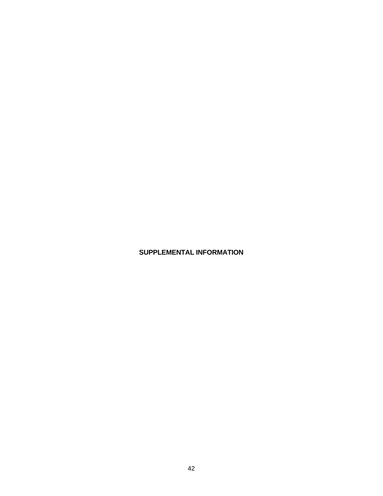# **SUPPLEMENTAL INFORMATION**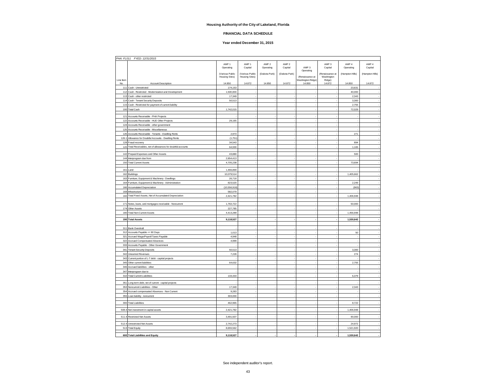#### **FINANCIAL DATA SCHEDULE**

|                 | PHA: FL011 FYED: 12/31/2015                                               |                                   |                                   |                               |                             |                              |                               |                    |                  |
|-----------------|---------------------------------------------------------------------------|-----------------------------------|-----------------------------------|-------------------------------|-----------------------------|------------------------------|-------------------------------|--------------------|------------------|
|                 |                                                                           | AMP <sub>1</sub><br>Operating     | AMP <sub>1</sub><br>Capital       | AMP <sub>2</sub><br>Operating | AMP <sub>2</sub><br>Capital | AMP <sub>3</sub>             | AMP <sub>3</sub><br>Capital   | AMP 4<br>Operating | AMP 4<br>Capital |
|                 |                                                                           | (Various Public<br>Housing Sites) | (Various Public<br>Housing Sites) | (Dakota Park)                 | (Dakota Park)               | Operating<br>(Renaissance at | (Renaissance at<br>Washington | (Hampton Hills)    | (Hampton Hills)  |
| Line tem<br>No. | Account Description                                                       | 14.850                            | 14.872                            | 14.850                        | 14.872                      | Washington Ridge<br>14.850   | Ridge)<br>14.872              | 14.850             | 14.872           |
| 111             | Cash - Unrestricted                                                       | 174,153                           |                                   |                               |                             |                              |                               | 23,631             |                  |
| 112             | Cash - Restricted - Modernization and Development                         | 1,500,000                         |                                   |                               |                             |                              |                               | 40,000             |                  |
|                 | 113 Cash - other restricted                                               | 17,349                            |                                   |                               |                             |                              |                               | 2,343              |                  |
| 114             | Cash - Tenant Security Deposits                                           | 50,513                            |                                   |                               |                             |                              |                               | 3,300              |                  |
| 115             | Cash - Restricted for payment of current liability                        |                                   |                                   |                               |                             |                              |                               | 2,755              |                  |
|                 | 100 Total Cash                                                            | 1,742,015                         |                                   |                               |                             |                              |                               | 72,029             |                  |
|                 |                                                                           |                                   |                                   |                               |                             |                              |                               |                    |                  |
| 121             | Accounts Receivable - PHA Projects                                        |                                   |                                   |                               |                             |                              |                               |                    |                  |
| 122             | Accounts Receivable - HUD Other Projects                                  | 29,165                            |                                   |                               |                             |                              |                               |                    |                  |
| 124             | Accounts Receivable - other government                                    |                                   |                                   |                               |                             |                              |                               |                    |                  |
| 125             | Accounts Receivable - Miscellaneous                                       |                                   |                                   |                               |                             |                              |                               |                    |                  |
| 126             | Accounts Receivable - Tenants - Dwelling Rents                            | 2,973                             |                                   |                               |                             |                              |                               | 271                |                  |
| 126.1           | Allowance for Doubtful Accounts - Dwelling Rents                          | (1,751)                           |                                   |                               |                             |                              |                               |                    |                  |
| 128             | Fraud recovery                                                            | 34,543                            |                                   |                               |                             |                              |                               | 894                |                  |
| 120             | Total Receivables, net of allowances for doubtful accounts                | 64,930                            |                                   |                               |                             |                              |                               | 1,165              |                  |
|                 | 142 Prepaid Expenses and Other Assets                                     | 43,880                            |                                   |                               |                             |                              |                               | 500                |                  |
| 144             | Interprogram due from                                                     | 2,854,413                         |                                   |                               |                             |                              |                               |                    |                  |
| 150             | <b>Total Current Assets</b>                                               | 4,705,238                         |                                   |                               |                             |                              |                               | 73,694             |                  |
|                 |                                                                           |                                   |                                   |                               |                             |                              |                               |                    |                  |
| 161             | Land                                                                      | 1,466,869                         |                                   |                               |                             |                              |                               |                    |                  |
| 162             | Buildings                                                                 | 10,079,514                        |                                   |                               |                             |                              |                               | 1,405,662          |                  |
|                 | 163 Furniture, Equipment & Machinery - Dwellings                          | 26,718                            |                                   |                               |                             |                              |                               |                    |                  |
| 164             | Furniture, Equipment & Machinery - Administration                         | 823,520                           |                                   |                               |                             |                              |                               | 2.249              |                  |
| 166             | Accumulated Depreciation                                                  | (10, 556, 918)                    |                                   |                               |                             |                              |                               | (963)              |                  |
|                 | 168 Infrastructure                                                        | 582,079                           |                                   |                               |                             |                              |                               |                    |                  |
| 160             | Total Fixed Assets, Net of Accumulated Depreciation                       | 2,421,782                         |                                   |                               |                             |                              |                               | 1,406,948          |                  |
|                 |                                                                           |                                   |                                   |                               |                             |                              |                               |                    |                  |
| 171             | Notes, loans, and mortgages receivable - Noncurrent                       | 1,763,722                         |                                   |                               |                             |                              |                               | 50,000             |                  |
| 174             | Other Assets                                                              | 227,785                           |                                   |                               |                             |                              |                               |                    |                  |
| 180             | <b>Total Non-Current Assets</b>                                           | 4,413,289                         |                                   |                               |                             |                              |                               | 1,456,948          |                  |
|                 | 190 Total Assets                                                          | 9,118,527                         |                                   |                               |                             |                              |                               | 1,530,642          |                  |
|                 |                                                                           |                                   |                                   |                               |                             |                              |                               |                    |                  |
| 311             | <b>Bank Overdraft</b>                                                     |                                   |                                   |                               |                             |                              |                               |                    |                  |
| 312             | Accounts Payable <= 90 Days                                               | 1,013                             |                                   |                               |                             |                              |                               | 50                 |                  |
| 321             | Accrued Wage/Payroll Taxes Payable                                        | 4,948                             |                                   |                               |                             |                              |                               |                    |                  |
| 322             | Accrued Compensated Absences                                              | 4,999                             |                                   |                               |                             |                              |                               |                    |                  |
| 333             | Accounts Payable - Other Government                                       |                                   |                                   |                               |                             |                              |                               |                    |                  |
| 341             | <b>Tenant Security Deposits</b>                                           | 50,513                            |                                   |                               |                             |                              |                               | 3,300              |                  |
| 342             | <b>Uneamed Revenues</b>                                                   | 7,228                             |                                   |                               |                             |                              |                               | 274                |                  |
| 343             | Current portion of L-T debt - capital projects                            |                                   |                                   |                               |                             |                              |                               |                    |                  |
| 345             | Other current liabilities                                                 | 64,632                            |                                   |                               |                             |                              |                               | 2,755              |                  |
| 346             | Accrued liabilities - other                                               |                                   |                                   |                               |                             |                              |                               |                    |                  |
| 347             | Interprogram due to                                                       |                                   |                                   |                               |                             |                              |                               |                    |                  |
|                 | 310 Total Current Liabilities                                             | 133,333                           |                                   |                               |                             |                              |                               | 6,379              |                  |
|                 |                                                                           |                                   |                                   |                               |                             |                              |                               |                    |                  |
| 351             | Long-term debt, net of current - capital projects                         |                                   |                                   |                               |                             |                              |                               |                    |                  |
| 353<br>354      | Noncurrent Liabilities - Other                                            | 17,349<br>9,283                   |                                   |                               |                             |                              |                               | 2,343              |                  |
| 355             | Accrued compensated Absences - Non Current<br>Loan liability - noncurrent | 303,000                           |                                   |                               |                             |                              |                               |                    |                  |
|                 |                                                                           |                                   |                                   |                               |                             |                              |                               |                    |                  |
| 300             | <b>Total Liabilities</b>                                                  | 462,965                           |                                   |                               |                             |                              |                               | 8,722              |                  |
|                 |                                                                           |                                   |                                   |                               |                             |                              |                               |                    |                  |
| 508.4           | Net investment in capital assets                                          | 2,421,782                         |                                   |                               |                             |                              |                               | 1,406,948          |                  |
| 511.4           | <b>Restricted Net Assets</b>                                              | 3,491,507                         |                                   |                               |                             |                              |                               | 90,000             |                  |
| 512.4           | Unrestricted Net Assets                                                   | 2,742,273                         |                                   |                               |                             |                              |                               | 24,972             |                  |
| 513             | <b>Total Equity</b>                                                       | 8,655,562                         |                                   |                               |                             |                              |                               | 1,521,920          |                  |
|                 | 600 Total Liabilities and Equity                                          | 9,118,527                         |                                   |                               |                             |                              |                               | 1,530,642          |                  |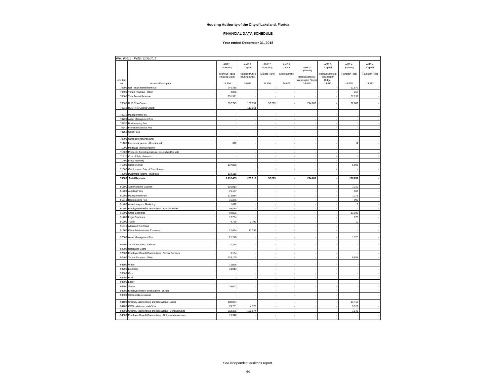#### **FINANCIAL DATA SCHEDULE**

|                  | PHA: FL011 FYED: 12/31/2015                             |                                   |                                   |                               |                             |                              |                               |                               |                             |
|------------------|---------------------------------------------------------|-----------------------------------|-----------------------------------|-------------------------------|-----------------------------|------------------------------|-------------------------------|-------------------------------|-----------------------------|
|                  |                                                         | AMP <sub>1</sub><br>Operating     | AMP <sub>1</sub><br>Capital       | AMP <sub>2</sub><br>Operating | AMP <sub>2</sub><br>Capital | AMP <sub>3</sub>             | AMP <sub>3</sub><br>Capital   | AMP <sub>4</sub><br>Operating | AMP <sub>4</sub><br>Capital |
|                  |                                                         | (Various Public<br>Housing Sites) | (Various Public<br>Housing Sites) | (Dakota Park)                 | (Dakota Park)               | Operating<br>(Renaissance at | (Renaissance at<br>Washington | (Hampton Hills)               | (Hampton Hills)             |
| Line Item<br>No. | Account Description                                     | 14.850                            | 14.872                            | 14.850                        | 14.872                      | Washington Ridge)<br>14.850  | Ridge)<br>14.872              | 14.850                        | 14.872                      |
| 70300            | Net Tenant Rental Revenue                               | 246,485                           |                                   |                               |                             |                              |                               | 61,872                        |                             |
|                  | 70400 Tenant Revenue - Other                            | 4,886                             |                                   |                               |                             |                              |                               | 260                           |                             |
| 70500            | <b>Total Tenant Revenue</b>                             | 251,371                           |                                   |                               |                             |                              |                               | 62,132                        |                             |
| 70600            | HUD PHA Grants                                          | 692,745                           | 150,951                           | 57,279                        |                             | 294,786                      |                               | 32,689                        |                             |
| 70610            | HUD PHA Capital Grants                                  |                                   | 112,561                           |                               |                             |                              |                               |                               |                             |
|                  |                                                         |                                   |                                   |                               |                             |                              |                               |                               |                             |
| 70710            | Management Fee                                          |                                   |                                   |                               |                             |                              |                               |                               |                             |
| 70720            | Asset Management Fee                                    |                                   |                                   |                               |                             |                              |                               |                               |                             |
| 70730            | Bookkeeping Fee                                         |                                   |                                   |                               |                             |                              |                               |                               |                             |
|                  | 70740 Front Line Service Fee                            |                                   |                                   |                               |                             |                              |                               |                               |                             |
| 70750            | Other Fees                                              |                                   |                                   |                               |                             |                              |                               |                               |                             |
| 70800            | Other government grants                                 |                                   |                                   |                               |                             |                              |                               |                               |                             |
|                  | 71100 Investment Income - Unrestricted                  | 322                               |                                   |                               |                             |                              |                               | 14                            |                             |
| 71200            | Mortgage interest income                                |                                   |                                   |                               |                             |                              |                               |                               |                             |
|                  | 71300 Proceeds from disposition of assets held for sale |                                   |                                   |                               |                             |                              |                               |                               |                             |
| 71310            | Cost of Sale of Assets                                  |                                   |                                   |                               |                             |                              |                               |                               |                             |
| 71400            | Fraud recovery                                          |                                   |                                   |                               |                             |                              |                               |                               |                             |
| 71500            | Other revenue                                           | 137,899                           |                                   |                               |                             |                              |                               | 5,896                         |                             |
| 71600            | Gain/Loss on Sale of Fixed Assets                       |                                   |                                   |                               |                             |                              |                               |                               |                             |
| 72000            | Investment income - restricted                          | 110,116                           |                                   |                               |                             |                              |                               |                               |                             |
| 70000            | <b>Total Revenue</b>                                    | 1,192,453                         | 263,512                           | 57,279                        |                             | 294,786                      |                               | 100,731                       |                             |
|                  |                                                         |                                   |                                   |                               |                             |                              |                               |                               |                             |
| 91100            | Administrative Salaries                                 | 135,913                           |                                   |                               |                             |                              |                               | 7,219                         |                             |
| 91200            | <b>Auditing Fees</b>                                    | 75,137                            |                                   |                               |                             |                              |                               | 666                           |                             |
| 91300            | Management Fee                                          | 112,914                           |                                   |                               |                             |                              |                               | 7,271                         |                             |
|                  | 91310 Bookkeeping Fee                                   | 15,375                            |                                   |                               |                             |                              |                               | 990                           |                             |
| 91400            | Advertising and Marketing                               | 1,612                             |                                   |                               |                             |                              |                               | $\overline{2}$                |                             |
| 91500            | Employee Benefit Contributions - Administrative         | 49,450<br>60,805                  |                                   |                               |                             |                              |                               | 11,928                        |                             |
| 91600<br>91700   | Office Expenses<br>Legal Expenses                       | 12,754                            |                                   |                               |                             |                              |                               | 970                           |                             |
| 91800            | Travel                                                  | 9,768                             | 3,799                             |                               |                             |                              |                               | 10                            |                             |
| 91810            | Allocated Overhead                                      |                                   |                                   |                               |                             |                              |                               |                               |                             |
| 91900            | Other Administrative Expenses                           | 21,484                            | 41,152                            |                               |                             |                              |                               |                               |                             |
|                  |                                                         |                                   |                                   |                               |                             |                              |                               |                               |                             |
| 92000            | Asset Management Fee                                    | 21,240                            |                                   |                               |                             |                              |                               | 1,320                         |                             |
| 92100            | <b>Tenant Services - Salaries</b>                       | 11.250                            |                                   |                               |                             |                              |                               |                               |                             |
| 92200            | <b>Relocation Costs</b>                                 |                                   |                                   |                               |                             |                              |                               |                               |                             |
| 92300            | Employee Benefit Contributions - Tenant Services        | 5.154                             |                                   |                               |                             |                              |                               |                               |                             |
| 92400            | Tenant Services - Other                                 | 128,109                           |                                   |                               |                             |                              |                               | 8,654                         |                             |
|                  |                                                         |                                   |                                   |                               |                             |                              |                               |                               |                             |
| 93100            | Water                                                   | 11,026                            |                                   |                               |                             |                              |                               |                               |                             |
| 93200            | Electricity                                             | 18,013                            |                                   |                               |                             |                              |                               |                               |                             |
| 93300            | Gas                                                     |                                   |                                   |                               |                             |                              |                               |                               |                             |
| 93400<br>93500   | Fuel<br>abor                                            |                                   |                                   |                               |                             |                              |                               |                               |                             |
| 93600            | Sewer                                                   | 26,602                            |                                   |                               |                             |                              |                               |                               |                             |
| 93700            | Employee benefit contributions - utilities              |                                   |                                   |                               |                             |                              |                               |                               |                             |
| 93800            | Other utilities expense                                 |                                   |                                   |                               |                             |                              |                               |                               |                             |
|                  |                                                         |                                   |                                   |                               |                             |                              |                               |                               |                             |
| 94100            | Ordinary Maintenance and Operations - Labor             | 108,064                           |                                   |                               |                             |                              |                               | 11,413                        |                             |
| 94200            | OMO - Materials and Other                               | 73,701                            | 4,576                             |                               |                             |                              |                               | 5,527                         |                             |
| 94300            | Ordinary Maintenance and Operations - Contract Costs    | 362,386                           | 100,574                           |                               |                             |                              |                               | 7,142                         |                             |
| 94500            | Employee Benefit Contributions - Ordinary Maintenance   | 19,548                            |                                   |                               |                             |                              |                               |                               |                             |
|                  |                                                         |                                   |                                   |                               |                             |                              |                               |                               |                             |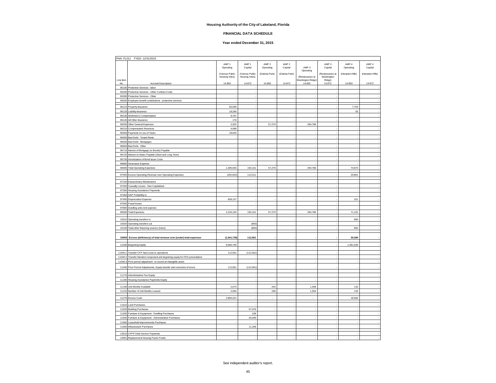#### **FINANCIAL DATA SCHEDULE**

|                 | PHA: FL011 FYED: 12/31/2015                                           |                                   |                                          |                               |                             |                              |                               |                    |                  |
|-----------------|-----------------------------------------------------------------------|-----------------------------------|------------------------------------------|-------------------------------|-----------------------------|------------------------------|-------------------------------|--------------------|------------------|
|                 |                                                                       | AMP <sub>1</sub><br>Operating     | AMP <sub>1</sub><br>Capital              | AMP <sub>2</sub><br>Operating | AMP <sub>2</sub><br>Capital | AMP <sub>3</sub>             | AMP <sub>3</sub><br>Capital   | AMP 4<br>Operating | AMP 4<br>Capital |
|                 |                                                                       | (Various Public<br>Housing Sites) | (Various Public<br><b>Housing Sites)</b> | (Dakota Park)                 | (Dakota Park)               | Operating<br>(Renaissance at | (Renaissance at<br>Washington | (Hampton Hills)    | (Hampton Hills)  |
| Line tem<br>No. | Account Description                                                   | 14.850                            | 14.872                                   | 14.850                        | 14.872                      | Washington Ridge<br>14.850   | Ridge)<br>14.872              | 14.850             | 14.872           |
| 95100           | Protective Services - labor                                           |                                   |                                          |                               |                             |                              |                               |                    |                  |
| 95200           | Protective Services - Other Contract Costs                            |                                   |                                          |                               |                             |                              |                               |                    |                  |
|                 | 95300 Protective Services - Other                                     |                                   |                                          |                               |                             |                              |                               |                    |                  |
| 95500           | Employee benefit contributions - protective services                  |                                   |                                          |                               |                             |                              |                               |                    |                  |
| 96110           | Property Insurance                                                    | 60,595                            |                                          |                               |                             |                              |                               | 7,703              |                  |
| 96120           | Liability Insurance                                                   | 18,266                            |                                          |                               |                             |                              |                               | 55                 |                  |
|                 | 96130 Workmen's Compensation                                          | 9,767                             |                                          |                               |                             |                              |                               |                    |                  |
| 96140           | All Other Insurance                                                   | 176                               |                                          |                               |                             |                              |                               |                    |                  |
| 96200           | Other General Expenses                                                | 2,302                             |                                          | 57,279                        |                             | 294,786                      |                               |                    |                  |
|                 | 96210 Compensated Absences                                            | 4,999                             |                                          |                               |                             |                              |                               |                    |                  |
| 96300           | Payments in Lieu of Taxes                                             | 18,645                            |                                          |                               |                             |                              |                               |                    |                  |
| 96400           | Bad Debt - Tenant Rents                                               |                                   |                                          |                               |                             |                              |                               |                    |                  |
|                 | 96500 Bad Debt - Mortgages                                            |                                   |                                          |                               |                             |                              |                               |                    |                  |
|                 | 96600 Bad Debt - Other                                                |                                   |                                          |                               |                             |                              |                               |                    |                  |
| 96710           | Interest of Mortgage (or Bonds) Payable                               |                                   |                                          |                               |                             |                              |                               |                    |                  |
| 96720           | Interest on Notes Payable (Short and Long Term)                       |                                   |                                          |                               |                             |                              |                               |                    |                  |
|                 | 96730 Amortization of Bond Issue Costs                                |                                   |                                          |                               |                             |                              |                               |                    |                  |
| 96800           | Severance Expense                                                     |                                   |                                          |                               |                             |                              |                               |                    |                  |
| 96900           | <b>Total Operating Expenses</b>                                       | 1,395,055                         | 150,101                                  | 57,279                        |                             | 294,786                      |                               | 70,870             |                  |
|                 |                                                                       |                                   |                                          |                               |                             |                              |                               |                    |                  |
| 97000           | Excess Operating Revenue over Operating Expenses                      | (202, 602)                        | 113,411                                  |                               |                             |                              |                               | 29,861             |                  |
|                 | 97100 Extraordinary Maintenance                                       |                                   |                                          |                               |                             |                              |                               |                    |                  |
| 97200           | Casualty Losses - Non-Capitalized                                     |                                   |                                          |                               |                             |                              |                               |                    |                  |
| 97300           | <b>Housing Assistance Payments</b>                                    |                                   |                                          |                               |                             |                              |                               |                    |                  |
| 97350           | HAP Portability-in                                                    |                                   |                                          |                               |                             |                              |                               |                    |                  |
| 97400           | Depreciation Expense                                                  | 839,137                           |                                          |                               |                             |                              |                               | 321                |                  |
| 97500           | Fraud losses                                                          |                                   |                                          |                               |                             |                              |                               |                    |                  |
| 97800           | Dwelling units rent expense                                           |                                   |                                          |                               |                             |                              |                               |                    |                  |
|                 | 90000 Total Expenses                                                  | 2,234,192                         | 150,101                                  | 57,279                        |                             | 294,786                      |                               | 71,191             |                  |
|                 |                                                                       |                                   |                                          |                               |                             |                              |                               |                    |                  |
|                 | 10010 Operating transfers in                                          |                                   |                                          |                               |                             |                              |                               | 850                |                  |
|                 | 10020 Operating transfers out                                         |                                   | (850)                                    |                               |                             |                              |                               |                    |                  |
| 10100           | Total other financing sources (Uses)                                  |                                   | (850)                                    |                               |                             |                              |                               | 850                |                  |
| 10000           | Excess (deficiency) of total revenue over (under) total expenses      | (1,041,739)                       | 112,561                                  |                               |                             |                              |                               | 30,390             |                  |
|                 | 11030 Beginning Equity                                                | 9,584,740                         |                                          |                               |                             |                              |                               | 1,491,530          |                  |
|                 |                                                                       |                                   |                                          |                               |                             |                              |                               |                    |                  |
| 11040.1         | Transfer CFP hard costs to operations                                 | 112,561                           | (112, 561                                |                               |                             |                              |                               |                    |                  |
| 11040.2         | Transfer blended component unit beginning equity for FDS presentation |                                   |                                          |                               |                             |                              |                               |                    |                  |
| 11040.3         | Prior period adjustment - to record an intangible asset.              |                                   |                                          |                               |                             |                              |                               |                    |                  |
| 11040           | Prior Period Adjustments, Equity transfer and correction of errors    | 112,561                           | (112, 561                                |                               |                             |                              |                               |                    |                  |
| 11170           | Administrative Fee Equity                                             |                                   |                                          |                               |                             |                              |                               |                    |                  |
|                 | 11180 Housing Assistance Payments Equity                              |                                   |                                          |                               |                             |                              |                               |                    |                  |
|                 |                                                                       |                                   |                                          |                               |                             |                              |                               |                    |                  |
| 11190           | Unit Months Available                                                 | 2,074                             |                                          | 240                           |                             | 1,308                        |                               | 132                |                  |
|                 | 11210 Number of Unit Months Leased                                    | 2,050                             |                                          | 238                           |                             | 1,304                        |                               | 132                |                  |
| 11270           | Excess Cash                                                           | 2,894,421                         |                                          |                               |                             |                              |                               | 18,566             |                  |
|                 |                                                                       |                                   |                                          |                               |                             |                              |                               |                    |                  |
|                 | 11610 Land Purchases                                                  |                                   |                                          | ×                             |                             |                              |                               |                    |                  |
| 11620           | <b>Building Purchases</b>                                             |                                   | 57,076                                   |                               |                             |                              |                               |                    |                  |
| 11630           | Furniture & Equipment - Dwelling Purchases                            |                                   | 228                                      |                               |                             |                              |                               |                    |                  |
|                 | 11640 Furniture & Equipment - Administrative Purchases                |                                   | 44,049                                   |                               |                             |                              |                               |                    |                  |
| 11650           | easehold Improvements Purchases                                       |                                   |                                          |                               |                             |                              |                               |                    |                  |
| 11660           | Infrastructure Purchases                                              |                                   | 11,208                                   |                               |                             |                              |                               |                    |                  |
|                 | 13510 CFFP Debt Service Payments                                      |                                   |                                          |                               |                             |                              |                               |                    |                  |
|                 | 13901 Replacement Housing Factor Funds                                |                                   |                                          |                               |                             |                              |                               |                    |                  |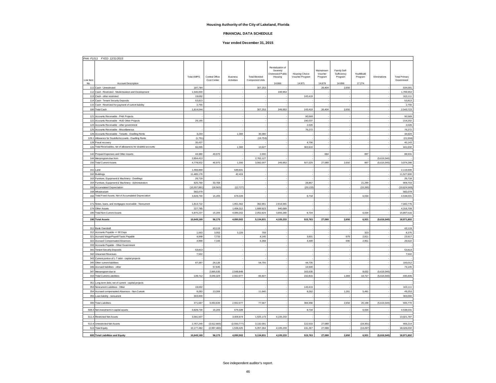#### **FINANCIAL DATA SCHEDULE**

|                  | PHA: FL011 FYED: 12/31/2015                                                  |                   |                               |                                      |                                         |                                                                                |                                                    |                                            |                                                  |                                 |              |                                    |
|------------------|------------------------------------------------------------------------------|-------------------|-------------------------------|--------------------------------------|-----------------------------------------|--------------------------------------------------------------------------------|----------------------------------------------------|--------------------------------------------|--------------------------------------------------|---------------------------------|--------------|------------------------------------|
| Line Item<br>No. | Account Description                                                          | <b>Total AMPS</b> | Central Office<br>Cost Center | <b>Business</b><br><b>Activities</b> | <b>Total Blended</b><br>Component Units | Revitalization of<br>Severely<br><b>Distressed Public</b><br>Housing<br>14,866 | <b>Housing Choice</b><br>Voucher Program<br>14.871 | Mainstream<br>Voucher<br>Program<br>14.879 | Family Self-<br>Sufficiency<br>Program<br>14.896 | YouthBuild<br>Program<br>17.274 | Eliminations | <b>Total Primary</b><br>Government |
|                  | 111 Cash - Unrestricted                                                      | 197,784           |                               |                                      | 307.253                                 |                                                                                |                                                    | 26,404                                     | 2.650                                            |                                 |              | 534.091                            |
|                  | 112 Cash - Restricted - Modernization and Development                        | 1,540,000         |                               |                                      |                                         | 249,953                                                                        |                                                    |                                            |                                                  |                                 |              | 1,789,953                          |
|                  | 113 Cash - other restricted                                                  | 19,692            |                               |                                      |                                         |                                                                                | 143,419                                            |                                            |                                                  |                                 |              | 163,111                            |
|                  | 114 Cash - Tenant Security Deposits                                          | 53,813            |                               |                                      |                                         |                                                                                |                                                    |                                            |                                                  |                                 |              | 53,813                             |
|                  | 115 Cash - Restricted for payment of current liability                       | 2,755             |                               |                                      |                                         |                                                                                |                                                    |                                            |                                                  |                                 |              | 2,755                              |
|                  | 100 Total Cash                                                               | 1,814,044         |                               |                                      | 307,253                                 | 249,953                                                                        | 143,419                                            | 26,404                                     | 2,650                                            |                                 |              | 2,543,723                          |
|                  |                                                                              |                   |                               |                                      |                                         |                                                                                |                                                    |                                            |                                                  |                                 |              |                                    |
| 121              | Accounts Receivable - PHA Projects                                           |                   |                               |                                      |                                         |                                                                                | 90,569                                             |                                            |                                                  |                                 |              | 90,569                             |
|                  | 122 Accounts Receivable - HUD Other Projects                                 | 29,165            |                               |                                      |                                         |                                                                                | 190,037                                            |                                            |                                                  |                                 |              | 219,202                            |
| 124<br>125       | Accounts Receivable - other governmen<br>Accounts Receivable - Miscellaneous |                   |                               |                                      |                                         |                                                                                | 2,026<br>76,272                                    |                                            |                                                  |                                 |              | 2,026<br>76,272                    |
|                  | 126 Accounts Receivable - Tenants - Dwelling Rents                           | 3,244             |                               | 1,300                                | 30,380                                  |                                                                                |                                                    |                                            |                                                  |                                 |              | 34,924                             |
| 126.1            | Allowance for Doubtful Accounts - Dwelling Rents                             | (1,751)           |                               |                                      | (19, 753)                               |                                                                                |                                                    |                                            |                                                  |                                 |              | (21, 504)                          |
| 128              | Fraud recovery                                                               | 35,437            |                               |                                      |                                         |                                                                                | 4,706                                              |                                            |                                                  |                                 |              | 40,143                             |
|                  | 120 Total Receivables, net of allowances for doubtful accounts               | 66,095            |                               | 1,300                                | 10,627                                  |                                                                                | 363,610                                            |                                            |                                                  |                                 |              | 441,632                            |
|                  |                                                                              |                   |                               |                                      |                                         |                                                                                |                                                    |                                            |                                                  |                                 |              |                                    |
|                  | 142 Prepaid Expenses and Other Assets                                        | 44,380            | 40,970                        |                                      | 2,000                                   |                                                                                |                                                    | 684                                        |                                                  | 897                             |              | 88,931                             |
|                  | 144 Interprogram due from                                                    | 2,854,413         |                               |                                      | 2,762,127                               |                                                                                |                                                    |                                            |                                                  |                                 | (5,616,540)  |                                    |
|                  | 150 Total Current Assets                                                     | 4,778,932         | 40,970                        | 1,300                                | 3,082,007                               | 249,953                                                                        | 507,029                                            | 27,088                                     | 2,650                                            | 897                             | (5,616,540)  | 3,074,286                          |
|                  | 161 Land                                                                     | 1.466,869         |                               | 649,631                              |                                         |                                                                                |                                                    |                                            |                                                  |                                 |              | 2.116.500                          |
|                  | 162 Buildings                                                                | 11,485,176        |                               | 42,424                               |                                         |                                                                                |                                                    |                                            |                                                  |                                 |              | 11,527,600                         |
|                  | 163 Furniture, Equipment & Machinery - Dwellings                             | 26,718            |                               |                                      |                                         |                                                                                |                                                    |                                            |                                                  |                                 |              | 26,718                             |
|                  | 164 Furniture, Equipment & Machinery - Administration                        | 825,769           | 33,768                        |                                      |                                         |                                                                                | 28,867                                             |                                            |                                                  | 21,299                          |              | 909,703                            |
|                  | 166 Accumulated Depreciation                                                 | (10,557,881       | (18, 56)                      | (12, 727)                            |                                         |                                                                                | (20, 133)                                          |                                            |                                                  | (15, 265)                       |              | (10,624,569)                       |
|                  | 168 Infrastructure                                                           | 582,079           |                               |                                      |                                         |                                                                                |                                                    |                                            |                                                  |                                 |              | 582,079                            |
| 160              | Total Fixed Assets, Net of Accumulated Depreciation                          | 3,828,730         | 15,205                        | 679,328                              |                                         |                                                                                | 8,734                                              |                                            |                                                  | 6.034                           |              | 4,538,031                          |
|                  |                                                                              |                   |                               |                                      |                                         |                                                                                |                                                    |                                            |                                                  |                                 |              |                                    |
|                  | 171 Notes, loans, and mortgages receivable - Noncurrent                      | 1,813,722         |                               | 1,951,562                            | 362,901                                 | 2,914,591                                                                      |                                                    |                                            |                                                  |                                 |              | 7,042,776                          |
|                  | 174 Other Assets                                                             | 227,785           |                               | 1,458,312                            | 1,689,923                               | 940,689                                                                        |                                                    |                                            |                                                  |                                 |              | 4,316,709                          |
|                  | 180 Total Non-Current Assets                                                 | 5,870,237         | 15,205                        | 4,089,202                            | 2,052,824                               | 3,855,280                                                                      | 8,734                                              |                                            |                                                  | 6,034                           |              | 15,897,516                         |
|                  | 190 Total Assets                                                             | 10,649,169        | 56,175                        | 4,090,502                            | 5,134,831                               | 4,105,233                                                                      | 515,763                                            | 27,088                                     | 2,650                                            | 6,931                           | (5,616,540)  | 18,971,802                         |
|                  |                                                                              |                   |                               |                                      |                                         |                                                                                |                                                    |                                            |                                                  |                                 |              |                                    |
|                  | 311 Bank Overdraft                                                           |                   | 43,119                        |                                      |                                         |                                                                                |                                                    |                                            |                                                  |                                 |              | 43,119                             |
|                  | 312 Accounts Payable <= 90 Days                                              | 1,063             | 3,002                         | 3,229                                | 759                                     |                                                                                |                                                    |                                            |                                                  | 323                             |              | 8,376                              |
|                  | 321 Accrued Wage/Payroll Taxes Payable                                       | 4,948             | 7,733                         |                                      | 4,145                                   |                                                                                | 3,601                                              |                                            | 679                                              | 2,811                           |              | 23,917                             |
| 322              | <b>Accrued Compensated Absences</b>                                          | 4,999             | 7,165                         |                                      | 6,268                                   |                                                                                | 4,449                                              |                                            | 690                                              | 2,951                           |              | 26,522                             |
|                  | 333 Accounts Payable - Other Government                                      |                   |                               |                                      |                                         |                                                                                |                                                    |                                            |                                                  |                                 |              |                                    |
|                  | 341 Tenant Security Deposits                                                 | 53,813            |                               |                                      |                                         |                                                                                |                                                    |                                            |                                                  |                                 |              | 53,813                             |
| 342              | <b>Uneamed Revenues</b>                                                      | 7,502             |                               |                                      |                                         |                                                                                |                                                    |                                            |                                                  |                                 |              | 7,502                              |
|                  | 343 Current portion of L-T debt - capital projects                           |                   |                               |                                      |                                         |                                                                                |                                                    |                                            |                                                  |                                 |              |                                    |
|                  | 345 Other current liabilities                                                | 67,387            | 26,135                        |                                      | 54,755                                  |                                                                                | 44,735                                             |                                            |                                                  |                                 |              | 193,012                            |
| 346              | Accrued liabilities - other                                                  |                   | 57,645                        |                                      |                                         |                                                                                | 16,500                                             |                                            |                                                  |                                 |              | 74,145                             |
| 347              | Interprogram due to                                                          |                   | 2,895,530                     | 2,548,848                            |                                         |                                                                                | 163,530                                            |                                            |                                                  | 8,632                           | (5,616,540)  |                                    |
|                  | 310 Total Current Liabilities                                                | 139,712           | 3,040,329                     | 2,552,077                            | 65,927                                  |                                                                                | 232,815                                            |                                            | 1,369                                            | 14,717                          | (5,616,540)  | 430,406                            |
|                  | 351 Long-term debt, net of current - capital projects                        |                   |                               |                                      |                                         |                                                                                |                                                    |                                            |                                                  |                                 |              |                                    |
|                  | 353 Noncurrent Liabilities - Other                                           | 19,692            |                               |                                      |                                         |                                                                                | 143,419                                            |                                            |                                                  |                                 |              | 163,111                            |
| 354              | Accrued compensated Absences - Non Current                                   | 9,283             | 13,306                        |                                      | 11,640                                  |                                                                                | 8,262                                              |                                            | 1,281                                            | 5,481                           |              | 49,253                             |
|                  | 355 Loan liability - noncurrent                                              | 303,000           |                               |                                      |                                         |                                                                                |                                                    |                                            |                                                  |                                 |              | 303,000                            |
| 300              | <b>Total Liabilities</b>                                                     | 471,687           | 3,053,635                     | 2,552,077                            | 77,567                                  |                                                                                | 384,496                                            |                                            | 2,650                                            | 20,198                          | (5,616,540)  | 945,770                            |
|                  |                                                                              |                   |                               |                                      |                                         |                                                                                |                                                    |                                            |                                                  |                                 |              | 4,538,031                          |
| 508.4            | Net investment in capital assets                                             | 3,828,730         | 15,205                        | 679,328                              |                                         |                                                                                | 8,734                                              |                                            |                                                  | 6,034                           |              |                                    |
|                  | 511.4 Restricted Net Assets                                                  | 3,581,507         |                               | 3,409,874                            | 1,925,173                               | 4,105,233                                                                      |                                                    |                                            |                                                  |                                 |              | 13,021,787                         |
|                  | 512.4 Unrestricted Net Assets                                                | 2,767,245         | (3,012,665)                   | (2,550,777)                          | 3,132,091                               |                                                                                | 122,533                                            | 27,088                                     |                                                  | (19, 301)                       |              | 466,214                            |
|                  | 513 Total Equity                                                             | 10,177,482        | (2,997,460)                   | 1,538,425                            | 5,057,264                               | 4,105,233                                                                      | 131,267                                            | 27,088                                     |                                                  | (13, 267)                       |              | 18,026,032                         |
|                  | 600 Total Liabilities and Equity                                             | 10,649,169        | 56,175                        | 4,090,502                            | 5,134,831                               | 4,105,233                                                                      | 515,763                                            | 27,088                                     | 2,650                                            | 6,931                           | (5,616,540)  | 18,971,802                         |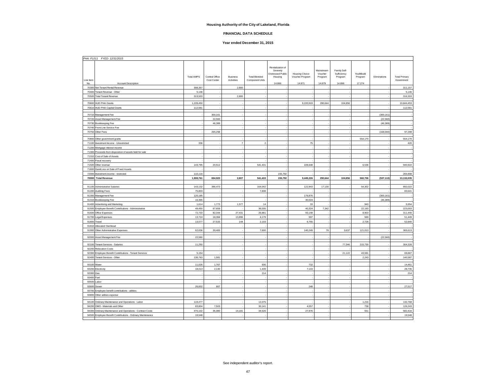#### **FINANCIAL DATA SCHEDULE**

|                  | PHA: FL011 FYED: 12/31/2015                           |                   |                               |                               |                                         |                                                                                |                                             |                                            |                                                  |                                 |                     |                                    |
|------------------|-------------------------------------------------------|-------------------|-------------------------------|-------------------------------|-----------------------------------------|--------------------------------------------------------------------------------|---------------------------------------------|--------------------------------------------|--------------------------------------------------|---------------------------------|---------------------|------------------------------------|
| Line Item<br>No. | Account Description                                   | <b>Total AMPS</b> | Central Office<br>Cost Center | <b>Business</b><br>Activities | <b>Total Blended</b><br>Component Units | Revitalization of<br>Severely<br><b>Distressed Public</b><br>Housing<br>14.866 | Housing Choice<br>Voucher Program<br>14.871 | Mainstream<br>Voucher<br>Program<br>14.879 | Family Self-<br>Sufficiency<br>Program<br>14.896 | YouthBuild<br>Program<br>17.274 | <b>Eliminations</b> | <b>Total Primary</b><br>Government |
| 70300            | Net Tenant Rental Revenue                             | 308,357           |                               | 2,800                         |                                         |                                                                                |                                             |                                            |                                                  |                                 |                     | 311,157                            |
| 70400            | Tenant Revenue - Other                                | 5,146             |                               |                               |                                         |                                                                                |                                             |                                            |                                                  |                                 |                     | 5,146                              |
| 70500            | <b>Total Tenant Revenue</b>                           | 313,503           |                               | 2,800                         |                                         |                                                                                |                                             |                                            |                                                  |                                 |                     | 316,303                            |
|                  |                                                       |                   |                               |                               |                                         |                                                                                |                                             |                                            |                                                  |                                 |                     |                                    |
| 70600            | <b>HUD PHA Grants</b>                                 | 1,228,450         |                               |                               |                                         |                                                                                | 9,220,503                                   | 290,644                                    | 104,856                                          |                                 |                     | 10,844,453                         |
| 70610            | HUD PHA Capital Grants                                | 112,561           |                               |                               |                                         |                                                                                |                                             |                                            |                                                  |                                 |                     | 112,561                            |
| 7071             | Management Fee                                        |                   | 300.161                       |                               |                                         |                                                                                |                                             |                                            |                                                  |                                 | (300, 161)          |                                    |
| 70720            | Asset Management Fee                                  |                   | 22,560                        |                               |                                         |                                                                                |                                             |                                            |                                                  |                                 | (22, 560)           |                                    |
| 70730            | <b>Bookkeeping Fee</b>                                |                   | 46,389                        |                               |                                         |                                                                                |                                             |                                            |                                                  |                                 | (46, 389)           |                                    |
| 70740            | Front Line Service Fee                                |                   |                               |                               |                                         |                                                                                |                                             |                                            |                                                  |                                 |                     |                                    |
| 70750            | Other Fees                                            |                   | 265,298                       |                               |                                         |                                                                                |                                             |                                            |                                                  |                                 | (168,000            | 97,298                             |
|                  |                                                       |                   |                               |                               |                                         |                                                                                |                                             |                                            |                                                  |                                 |                     |                                    |
| 70800            | Other government grants                               |                   |                               |                               |                                         |                                                                                |                                             |                                            |                                                  | 554,170                         |                     | 554,170                            |
| 71100            | Investment Income - Unrestricted                      | 336               |                               | $\scriptstyle{7}$             |                                         |                                                                                | 75                                          |                                            |                                                  |                                 |                     | 420                                |
| 71200            | Mortgage interest income                              |                   |                               |                               |                                         |                                                                                |                                             |                                            |                                                  |                                 |                     |                                    |
| 71300            | Proceeds from disposition of assets held for sale     |                   |                               |                               |                                         |                                                                                |                                             |                                            |                                                  |                                 |                     |                                    |
| 7131             | Cost of Sale of Assets                                |                   |                               |                               |                                         |                                                                                |                                             |                                            |                                                  |                                 |                     |                                    |
| 71400            | Fraud recovery                                        |                   |                               |                               |                                         |                                                                                |                                             |                                            |                                                  |                                 |                     |                                    |
| 71500            | Other revenue                                         | 143,795           | 20,512                        |                               | 541,431                                 |                                                                                | 228,648                                     |                                            |                                                  | 6,536                           |                     | 940,922                            |
| 71600            | Gain/Loss on Sale of Fixed Assets                     |                   |                               |                               |                                         |                                                                                |                                             |                                            |                                                  |                                 |                     |                                    |
| 72000            | Investment income - restricted                        | 110,116           |                               |                               |                                         | 155,792                                                                        |                                             |                                            |                                                  |                                 |                     | 265,908                            |
|                  | 70000 Total Revenue                                   | 1,908,761         | 654,920                       | 2,807                         | 541,433                                 | 155,792                                                                        | 9,449,226                                   | 290,644                                    | 104,856                                          | 560,706                         | (537, 110)          | 13,132,035                         |
|                  |                                                       |                   |                               |                               |                                         |                                                                                |                                             |                                            |                                                  |                                 |                     |                                    |
| 91100            | Administrative Salaries                               | 143,132           | 390,473                       |                               | 164,042                                 |                                                                                | 122,943                                     | 17,130                                     |                                                  | 54,302                          |                     | 892,022                            |
| 91200            | <b>Auditing Fees</b>                                  | 75,803            |                               |                               | 7,838                                   |                                                                                |                                             |                                            |                                                  |                                 |                     | 83,641                             |
| 91300            | Management Fee                                        | 120,185           |                               |                               |                                         |                                                                                | 179,976                                     |                                            |                                                  |                                 | (300, 161)          |                                    |
| 91310            | <b>Bookkeeping Fee</b>                                | 16,365            |                               |                               |                                         |                                                                                | 30,024                                      |                                            |                                                  |                                 | (46, 389)           |                                    |
| 91400            | Advertising and Marketing                             | 1,614             | 1,773                         | 1,577                         | 14                                      |                                                                                | 33                                          |                                            |                                                  | 943                             |                     | 5,954                              |
| 91500            | Employee Benefit Contributions - Administrative       | 49,450            | 67,659                        |                               | 36,035                                  |                                                                                | 40,324                                      | 7,342                                      |                                                  | 22,193                          |                     | 223,003                            |
| 91600            | Office Expenses                                       | 72.733            | 82,344                        | 27,431                        | 26,881                                  |                                                                                | 93.148                                      |                                            |                                                  | 8.903                           |                     | 311,440                            |
| 91700            | Legal Expenses                                        | 13.724            | 18,384                        | 13,996                        | 4.179                                   |                                                                                | 597                                         |                                            |                                                  | 569                             |                     | 51,449                             |
| 91800            | Travel                                                | 13,577            | 27,533                        | 144                           | 2,103                                   |                                                                                | 6,755                                       |                                            |                                                  | 2,728                           |                     | 52,840                             |
| 91810            | Allocated Overhead                                    |                   |                               |                               |                                         |                                                                                |                                             |                                            |                                                  |                                 |                     |                                    |
| 91900            | Other Administrative Expenses                         | 62,636            | 30,400                        |                               | 7,600                                   |                                                                                | 140,249                                     | 78                                         | 3,637                                            | 121,013                         |                     | 365,613                            |
|                  |                                                       |                   |                               |                               |                                         |                                                                                |                                             |                                            |                                                  |                                 |                     |                                    |
| 92000            | Asset Management Fee                                  | 22,560            |                               |                               |                                         |                                                                                |                                             |                                            |                                                  |                                 | (22, 560)           |                                    |
| 92100            | <b>Tenant Services - Salaries</b>                     | 11,250            |                               |                               |                                         |                                                                                |                                             |                                            | 77,346                                           | 215,730                         |                     | 304,326                            |
| 92200            | <b>Relocation Costs</b>                               |                   |                               |                               |                                         |                                                                                |                                             |                                            |                                                  |                                 |                     |                                    |
| 92300            | Employee Benefit Contributions - Tenant Services      | 5,154             |                               |                               |                                         |                                                                                |                                             |                                            | 21,122                                           | 43,591                          |                     | 69,867                             |
|                  | 92400 Tenant Services - Other                         | 136,763           | 1,581                         |                               |                                         |                                                                                |                                             |                                            |                                                  | 2,243                           |                     | 140,587                            |
|                  |                                                       |                   |                               |                               |                                         |                                                                                |                                             |                                            |                                                  |                                 |                     |                                    |
| 93100            | Water                                                 | 11,026            | 1,767                         |                               | 936                                     |                                                                                | 732                                         |                                            |                                                  |                                 |                     | 14,461                             |
| 93200            | Electricity                                           | 18,013            | 2,140                         |                               | 1,439                                   |                                                                                | 7,143                                       |                                            |                                                  |                                 |                     | 28,735                             |
| 93300            | Gas                                                   |                   |                               |                               | 214                                     |                                                                                |                                             |                                            |                                                  |                                 |                     | 214                                |
| 93400            | Fuel                                                  |                   |                               |                               |                                         |                                                                                |                                             |                                            |                                                  |                                 |                     |                                    |
| 93500            | Labor                                                 |                   |                               |                               |                                         |                                                                                |                                             |                                            |                                                  |                                 |                     |                                    |
| 93600            | Sewer                                                 | 26,602            | 667                           |                               |                                         |                                                                                | 248                                         |                                            |                                                  |                                 |                     | 27,517                             |
| 93700            | Employee benefit contributions - utilities            |                   |                               |                               |                                         |                                                                                |                                             |                                            |                                                  |                                 |                     |                                    |
| 93800            | Other utilities expense                               |                   |                               |                               |                                         |                                                                                |                                             |                                            |                                                  |                                 |                     |                                    |
| 94100            | Ordinary Maintenance and Operations - Labor           | 119,477           |                               |                               | 12,075                                  |                                                                                |                                             |                                            |                                                  | 1,216                           |                     | 132,768                            |
| 94200            | OMO - Materials and Other                             | 83,804            | 7,503                         |                               | 30,141                                  |                                                                                | 4,057                                       |                                            |                                                  | 738                             |                     | 126,243                            |
| 94300            | Ordinary Maintenance and Operations - Contract Costs  | 470,102           | 35,080                        | 14,181                        | 34,526                                  |                                                                                | 27,976                                      |                                            |                                                  | 551                             |                     | 582,416                            |
| 94500            | Employee Benefit Contributions - Ordinary Maintenance | 19,548            |                               |                               |                                         |                                                                                |                                             |                                            |                                                  |                                 |                     | 19,548                             |
|                  |                                                       |                   |                               |                               |                                         |                                                                                |                                             |                                            |                                                  |                                 |                     |                                    |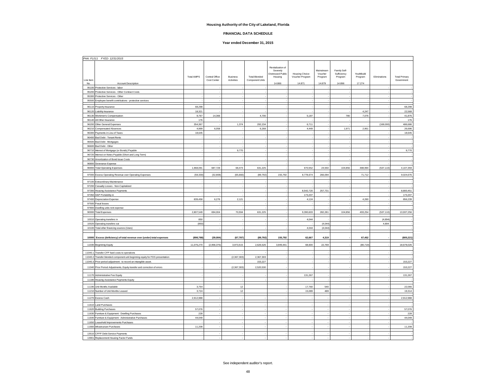#### **FINANCIAL DATA SCHEDULE**

|                  | PHA: FL011 FYED: 12/31/2015                                                   |                   |                               |                        |                                         |                                                                                |                                                    |                                            |                                                  |                                 |                  |                                    |
|------------------|-------------------------------------------------------------------------------|-------------------|-------------------------------|------------------------|-----------------------------------------|--------------------------------------------------------------------------------|----------------------------------------------------|--------------------------------------------|--------------------------------------------------|---------------------------------|------------------|------------------------------------|
| Line Item<br>No. | Account Description                                                           | <b>Total AMPS</b> | Central Office<br>Cost Center | Business<br>Activities | <b>Total Blended</b><br>Component Units | Revitalization of<br>Severely<br><b>Distressed Public</b><br>Housing<br>14.866 | <b>Housing Choice</b><br>Voucher Program<br>14.871 | Mainstream<br>Voucher<br>Program<br>14.879 | Family Self-<br>Sufficiency<br>Program<br>14.896 | YouthBuild<br>Program<br>17.274 | Eliminations     | <b>Total Primary</b><br>Government |
|                  | 95100 Protective Services - labor                                             |                   |                               |                        |                                         |                                                                                |                                                    |                                            |                                                  |                                 |                  |                                    |
| 95200            | Protective Services - Other Contract Costs                                    |                   |                               |                        |                                         |                                                                                |                                                    |                                            |                                                  |                                 |                  |                                    |
|                  | 95300 Protective Services - Other                                             |                   |                               |                        |                                         |                                                                                |                                                    |                                            |                                                  |                                 |                  |                                    |
| 95500            | Employee benefit contributions - protective services                          |                   |                               |                        |                                         |                                                                                |                                                    |                                            |                                                  |                                 |                  |                                    |
| 9611             | roperty Insurance                                                             | 68,298            |                               |                        |                                         |                                                                                |                                                    |                                            |                                                  |                                 |                  | 68,298                             |
| 96120            | Liability Insurance                                                           | 18,321            |                               |                        |                                         |                                                                                |                                                    |                                            |                                                  | 4,247                           |                  | 22,568                             |
| 96130            | Workmen's Compensation                                                        | 9,767             | 14,366                        |                        | 4,700                                   |                                                                                | 5,187                                              |                                            | 780                                              | 7,076                           |                  | 41,876                             |
| 96140            | All Other Insurance                                                           | 176               |                               |                        |                                         |                                                                                |                                                    |                                            |                                                  |                                 |                  | 176                                |
| 96200            | Other General Expenses                                                        | 354,367           |                               | 1,374                  | 292,234                                 |                                                                                | 6,711                                              |                                            |                                                  |                                 | (168,000)        | 486,686                            |
| 96210            | Compensated Absences                                                          | 4,999             | 6,058                         |                        | 6,268                                   |                                                                                | 4,449                                              |                                            | 1,971                                            | 2,951                           |                  | 26,696                             |
| 9630             | Payments in Lieu of Taxes                                                     | 18,645            |                               |                        |                                         |                                                                                |                                                    |                                            |                                                  |                                 |                  | 18,645                             |
| 96400            | Bad Debt - Tenant Rents                                                       |                   |                               |                        |                                         |                                                                                |                                                    |                                            |                                                  |                                 |                  |                                    |
| 96500            |                                                                               |                   |                               |                        |                                         |                                                                                |                                                    |                                            |                                                  |                                 |                  |                                    |
|                  | Bad Debt - Mortgages<br>96600 Bad Debt - Other                                |                   |                               |                        |                                         |                                                                                |                                                    |                                            |                                                  |                                 |                  |                                    |
| 96710            | Interest of Mortgage (or Bonds) Payable                                       |                   |                               | 9,770                  |                                         |                                                                                |                                                    |                                            |                                                  |                                 |                  | 9,770                              |
| 96720            | Interest on Notes Payable (Short and Long Term)                               |                   |                               |                        |                                         |                                                                                |                                                    |                                            |                                                  |                                 |                  |                                    |
| 96730            | Amortization of Bond Issue Costs                                              |                   |                               |                        |                                         |                                                                                |                                                    |                                            |                                                  |                                 |                  |                                    |
|                  |                                                                               |                   |                               |                        |                                         |                                                                                |                                                    |                                            |                                                  |                                 |                  |                                    |
| 96800<br>96900   | Severance Expense                                                             | 1,968,091         | 687,728                       | 68,473                 | 631,225                                 |                                                                                | 670,552                                            | 24,550                                     | 104,856                                          | 488,994                         |                  | 4,107,359                          |
|                  | <b>Total Operating Expenses</b>                                               |                   |                               |                        |                                         |                                                                                |                                                    |                                            |                                                  |                                 | (537, 110)       |                                    |
| 97000            | Excess Operating Revenue over Operating Expenses                              | (59, 330)         | (32, 808)                     | (65, 666)              | (89, 792)                               | 155,792                                                                        | 8,778,674                                          | 266,094                                    |                                                  | 71,712                          |                  | 9,024,676                          |
|                  |                                                                               |                   |                               |                        |                                         |                                                                                |                                                    |                                            |                                                  |                                 |                  |                                    |
|                  | 97100 Extraordinary Maintenance                                               |                   |                               |                        |                                         |                                                                                |                                                    |                                            |                                                  |                                 |                  |                                    |
| 97200            | Casualty Losses - Non-Capitalized                                             |                   |                               |                        |                                         |                                                                                |                                                    |                                            |                                                  |                                 |                  |                                    |
| 97300            | Housing Assistance Payments                                                   |                   |                               |                        |                                         |                                                                                | 8,542,720                                          | 257,731                                    |                                                  |                                 |                  | 8,800,451                          |
| 97350            | HAP Portability-in                                                            |                   |                               |                        |                                         |                                                                                | 173,207                                            |                                            |                                                  |                                 |                  | 173,207                            |
| 97400            | Depreciation Expense                                                          | 839,458           | 6,276                         | 2,121                  |                                         |                                                                                | 4,124                                              |                                            |                                                  | 4,260                           |                  | 856,239                            |
| 97500            | Fraud losses                                                                  |                   |                               |                        |                                         |                                                                                |                                                    |                                            |                                                  |                                 |                  |                                    |
|                  | 97800 Dwelling units rent expense                                             |                   |                               |                        |                                         |                                                                                |                                                    |                                            |                                                  |                                 |                  |                                    |
| 90000            | <b>Total Expenses</b>                                                         | 2,807,549         | 694,004                       | 70,594                 | 631,225                                 |                                                                                | 9,390,603                                          | 282,281                                    | 104,856                                          | 493,254                         | (537, 110)       | 13,937,256                         |
|                  |                                                                               |                   |                               |                        |                                         |                                                                                |                                                    |                                            |                                                  |                                 |                  |                                    |
|                  | 10010 Operating transfers in<br>10020 Operating transfers out                 | 850<br>(850)      |                               |                        |                                         |                                                                                | 4,044                                              | (4,044)                                    |                                                  |                                 | (4,894)<br>4,894 |                                    |
|                  |                                                                               |                   |                               |                        |                                         |                                                                                |                                                    |                                            |                                                  |                                 |                  |                                    |
|                  | 10100 Total other financing sources (Uses)                                    |                   |                               |                        |                                         |                                                                                | 4,044                                              | (4,044)                                    |                                                  |                                 |                  |                                    |
|                  | 10000 Excess (deficiency) of total revenue over (under) total expenses        | (898, 788)        | (39, 084)                     | (67, 787)              | (89, 792)                               | 155,792                                                                        | 62,667                                             | 4,319                                      |                                                  | 67,452                          |                  | (805, 221)                         |
| 11030            | <b>Beginning Equity</b>                                                       | 11,076,270        | (2,958,376)                   | 3,973,515              | 2,626,526                               | 3,949,441                                                                      | 68,600                                             | 22,769                                     |                                                  | (80, 719)                       |                  | 18,678,026                         |
|                  |                                                                               |                   |                               |                        |                                         |                                                                                |                                                    |                                            |                                                  |                                 |                  |                                    |
| 11040.           | Transfer CFP hard costs to operations                                         |                   |                               |                        |                                         |                                                                                |                                                    |                                            |                                                  |                                 |                  |                                    |
|                  | 11040.2 Transfer blended component unit beginning equity for FDS presentation |                   |                               | (2,367,303)            | 2,367,303                               |                                                                                |                                                    |                                            |                                                  |                                 |                  |                                    |
| 11040.3          | Prior period adjustment - to record an intangible asset.                      |                   |                               |                        | 153,227                                 |                                                                                |                                                    |                                            |                                                  |                                 |                  | 153,227                            |
| 11040            | Prior Period Adjustments, Equity transfer and correction of errors            |                   |                               | (2,367,303)            | 2,520,530                               |                                                                                |                                                    |                                            |                                                  |                                 |                  | 153,227                            |
| 11170            | Administrative Fee Equity                                                     |                   |                               |                        |                                         |                                                                                | 131,267                                            |                                            |                                                  |                                 |                  | 131,267                            |
|                  | 11180 Housing Assistance Payments Equity                                      |                   |                               |                        |                                         |                                                                                |                                                    |                                            |                                                  |                                 |                  |                                    |
|                  |                                                                               |                   |                               |                        |                                         |                                                                                |                                                    |                                            |                                                  |                                 |                  |                                    |
| 11190            | Unit Months Available                                                         | 3,754             |                               | $12\,$                 |                                         |                                                                                | 17,760                                             | 540                                        |                                                  |                                 |                  | 22,066                             |
| 11210            | Number of Unit Months Leased                                                  | 3,724             |                               | $12\,$                 |                                         |                                                                                | 15,089                                             | 489                                        |                                                  |                                 |                  | 19,314                             |
| 11270            | Excess Cash                                                                   | 2,912,988         |                               |                        |                                         |                                                                                |                                                    |                                            |                                                  |                                 |                  | 2,912,988                          |
|                  |                                                                               |                   |                               |                        |                                         |                                                                                |                                                    |                                            |                                                  |                                 |                  |                                    |
|                  | 11610 Land Purchases                                                          |                   |                               |                        |                                         |                                                                                |                                                    |                                            |                                                  |                                 |                  |                                    |
| 11620            | <b>Building Purchases</b>                                                     | 57,076            |                               |                        |                                         |                                                                                |                                                    |                                            |                                                  |                                 |                  | 57,076                             |
| 11630            | Furniture & Equipment - Dwelling Purchases                                    | 228               |                               |                        |                                         |                                                                                |                                                    |                                            |                                                  |                                 |                  | 228                                |
|                  | 11640 Furniture & Equipment - Administrative Purchases                        | 44,049            |                               |                        |                                         |                                                                                |                                                    |                                            |                                                  |                                 |                  | 44,049                             |
| 11650            | easehold Improvements Purchases                                               |                   |                               |                        |                                         |                                                                                |                                                    |                                            |                                                  |                                 |                  |                                    |
| 11660            | Infrastructure Purchases                                                      | 11,208            |                               |                        |                                         |                                                                                |                                                    |                                            |                                                  |                                 |                  | 11,208                             |
| 13510            | CFFP Debt Service Payments                                                    |                   |                               |                        |                                         |                                                                                |                                                    |                                            |                                                  |                                 |                  |                                    |
| 13901            | Replacement Housing Factor Funds                                              |                   |                               |                        |                                         |                                                                                |                                                    |                                            |                                                  |                                 |                  |                                    |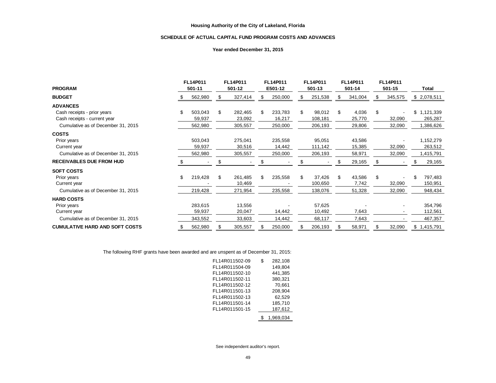#### **SCHEDULE OF ACTUAL CAPITAL FUND PROGRAM COSTS AND ADVANCES**

#### **Year ended December 31, 2015**

| <b>PROGRAM</b>                        |     | FL14P011<br>501-11 |    | FL14P011<br>501-12 |    | FL14P011<br>E501-12 |    | <b>FL14P011</b><br>501-13 |     | FL14P011<br>501-14 |    | FL14P011<br>501-15 | Total           |
|---------------------------------------|-----|--------------------|----|--------------------|----|---------------------|----|---------------------------|-----|--------------------|----|--------------------|-----------------|
| <b>BUDGET</b>                         |     | 562,980            | S. | 327,414            | S  | 250,000             | Ж, | 251,538                   | -SS | 341,004            | æ. | 345,575            | \$2,078,511     |
| <b>ADVANCES</b>                       |     |                    |    |                    |    |                     |    |                           |     |                    |    |                    |                 |
| Cash receipts - prior years           | \$  | 503,043            | \$ | 282,465            | \$ | 233,783             | \$ | 98,012                    | S.  | 4,036              | \$ |                    | 1,121,339<br>\$ |
| Cash receipts - current year          |     | 59,937             |    | 23,092             |    | 16,217              |    | 108,181                   |     | 25,770             |    | 32,090             | 265,287         |
| Cumulative as of December 31, 2015    |     | 562,980            |    | 305,557            |    | 250,000             |    | 206,193                   |     | 29,806             |    | 32,090             | 1,386,626       |
| <b>COSTS</b>                          |     |                    |    |                    |    |                     |    |                           |     |                    |    |                    |                 |
| Prior years                           |     | 503,043            |    | 275,041            |    | 235,558             |    | 95,051                    |     | 43,586             |    |                    | 1,152,279       |
| Current year                          |     | 59,937             |    | 30,516             |    | 14,442              |    | 111,142                   |     | 15,385             |    | 32,090             | 263,512         |
| Cumulative as of December 31, 2015    |     | 562,980            |    | 305,557            |    | 250,000             |    | 206,193                   |     | 58,971             |    | 32,090             | 1,415,791       |
| <b>RECEIVABLES DUE FROM HUD</b>       |     |                    |    |                    |    |                     |    |                           |     | 29,165             |    |                    | 29,165          |
| <b>SOFT COSTS</b>                     |     |                    |    |                    |    |                     |    |                           |     |                    |    |                    |                 |
| Prior years                           | \$. | 219,428            | \$ | 261,485            | \$ | 235,558             | \$ | 37,426                    | \$. | 43,586             | S. |                    | 797,483<br>\$.  |
| Current year                          |     |                    |    | 10,469             |    |                     |    | 100,650                   |     | 7,742              |    | 32,090             | 150,951         |
| Cumulative as of December 31, 2015    |     | 219,428            |    | 271,954            |    | 235,558             |    | 138,076                   |     | 51,328             |    | 32,090             | 948,434         |
| <b>HARD COSTS</b>                     |     |                    |    |                    |    |                     |    |                           |     |                    |    |                    |                 |
| Prior years                           |     | 283,615            |    | 13,556             |    |                     |    | 57,625                    |     |                    |    |                    | 354,796         |
| Current year                          |     | 59,937             |    | 20,047             |    | 14,442              |    | 10,492                    |     | 7,643              |    |                    | 112,561         |
| Cumulative as of December 31, 2015    |     | 343,552            |    | 33,603             |    | 14,442              |    | 68,117                    |     | 7,643              |    |                    | 467,357         |
| <b>CUMULATIVE HARD AND SOFT COSTS</b> |     | 562,980            |    | 305,557            |    | 250,000             |    | 206,193                   |     | 58,971             |    | 32,090             | \$1,415,791     |

The following RHF grants have been awarded and are unspent as of December 31, 2015:

| FL14R011502-09 | \$<br>282.108 |
|----------------|---------------|
| FL14R011504-09 | 149.804       |
| FL14R011502-10 | 441.385       |
| FL14R011502-11 | 380,321       |
| FL14R011502-12 | 70.661        |
| FL14R011501-13 | 208.904       |
| FL14R011502-13 | 62.529        |
| FL14R011501-14 | 185,710       |
| FL14R011501-15 | 187,612       |
|                | 1,969,034     |

See independent auditor's report.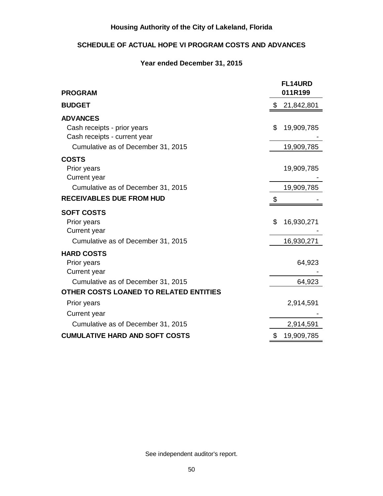# **SCHEDULE OF ACTUAL HOPE VI PROGRAM COSTS AND ADVANCES**

# **Year ended December 31, 2015**

| <b>PROGRAM</b>                                              |     | FL14URD<br>011R199 |
|-------------------------------------------------------------|-----|--------------------|
| <b>BUDGET</b>                                               | \$  | 21,842,801         |
| <b>ADVANCES</b>                                             |     |                    |
| Cash receipts - prior years<br>Cash receipts - current year | \$  | 19,909,785         |
| Cumulative as of December 31, 2015                          |     | 19,909,785         |
| <b>COSTS</b>                                                |     |                    |
| Prior years<br>Current year                                 |     | 19,909,785         |
| Cumulative as of December 31, 2015                          |     | 19,909,785         |
| <b>RECEIVABLES DUE FROM HUD</b>                             |     |                    |
| <b>SOFT COSTS</b>                                           |     |                    |
| Prior years                                                 | \$. | 16,930,271         |
| Current year                                                |     |                    |
| Cumulative as of December 31, 2015                          |     | 16,930,271         |
| <b>HARD COSTS</b>                                           |     |                    |
| Prior years<br>Current year                                 |     | 64,923             |
| Cumulative as of December 31, 2015                          |     | 64,923             |
| OTHER COSTS LOANED TO RELATED ENTITIES                      |     |                    |
| Prior years                                                 |     | 2,914,591          |
| Current year                                                |     |                    |
| Cumulative as of December 31, 2015                          |     | 2,914,591          |
| <b>CUMULATIVE HARD AND SOFT COSTS</b>                       | \$  | 19,909,785         |

See independent auditor's report.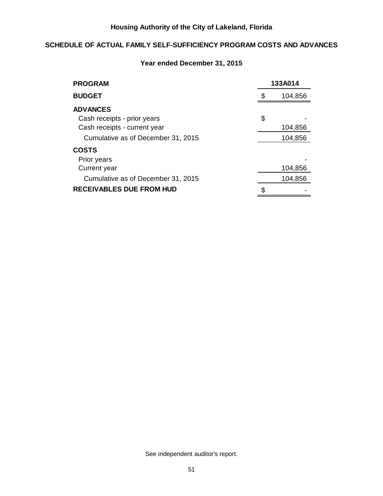# **SCHEDULE OF ACTUAL FAMILY SELF-SUFFICIENCY PROGRAM COSTS AND ADVANCES**

# **Year ended December 31, 2015**

| <b>PROGRAM</b>                     |    | 133A014 |
|------------------------------------|----|---------|
| <b>BUDGET</b>                      | S  | 104,856 |
| <b>ADVANCES</b>                    |    |         |
| Cash receipts - prior years        | \$ |         |
| Cash receipts - current year       |    | 104,856 |
| Cumulative as of December 31, 2015 |    | 104,856 |
| <b>COSTS</b>                       |    |         |
| Prior years                        |    |         |
| Current year                       |    | 104,856 |
| Cumulative as of December 31, 2015 |    | 104,856 |
| <b>RECEIVABLES DUE FROM HUD</b>    | S  |         |

See independent auditor's report.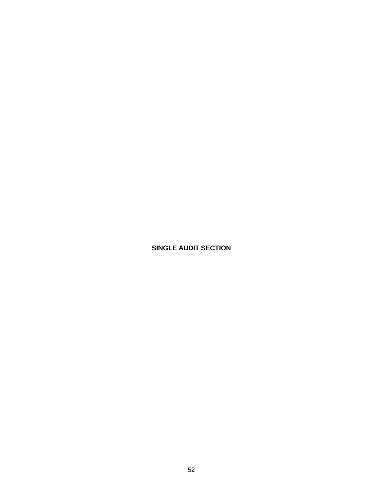# **SINGLE AUDIT SECTION**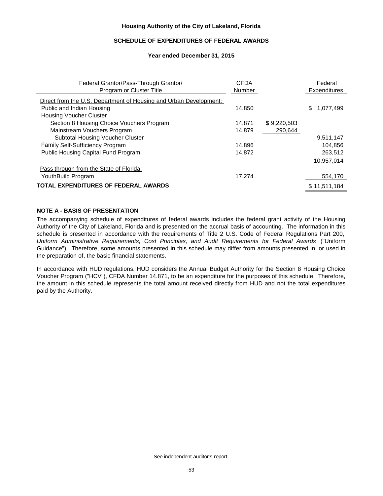#### **SCHEDULE OF EXPENDITURES OF FEDERAL AWARDS**

#### **Year ended December 31, 2015**

| Federal Grantor/Pass-Through Grantor/<br>Program or Cluster Title | <b>CFDA</b><br>Number |             | Federal<br>Expenditures |
|-------------------------------------------------------------------|-----------------------|-------------|-------------------------|
| Direct from the U.S. Department of Housing and Urban Development: |                       |             |                         |
| Public and Indian Housing                                         | 14.850                |             | 1,077,499<br>\$         |
| <b>Housing Voucher Cluster</b>                                    |                       |             |                         |
| Section 8 Housing Choice Vouchers Program                         | 14.871                | \$9,220,503 |                         |
| Mainstream Vouchers Program                                       | 14.879                | 290.644     |                         |
| <b>Subtotal Housing Voucher Cluster</b>                           |                       |             | 9,511,147               |
| <b>Family Self-Sufficiency Program</b>                            | 14.896                |             | 104,856                 |
| <b>Public Housing Capital Fund Program</b>                        | 14.872                |             | 263,512                 |
|                                                                   |                       |             | 10.957.014              |
| Pass through from the State of Florida:                           |                       |             |                         |
| YouthBuild Program                                                | 17.274                |             | 554,170                 |
| TOTAL EXPENDITURES OF FEDERAL AWARDS                              |                       |             | \$11,511,184            |

#### **NOTE A - BASIS OF PRESENTATION**

The accompanying schedule of expenditures of federal awards includes the federal grant activity of the Housing Authority of the City of Lakeland, Florida and is presented on the accrual basis of accounting. The information in this schedule is presented in accordance with the requirements of Title 2 U.S. Code of Federal Regulations Part 200, *Uniform Administrative Requirements, Cost Principles, and Audit Requirements for Federal Awards* ("Uniform Guidance"). Therefore, some amounts presented in this schedule may differ from amounts presented in, or used in the preparation of, the basic financial statements.

In accordance with HUD regulations, HUD considers the Annual Budget Authority for the Section 8 Housing Choice Voucher Program ("HCV"), CFDA Number 14.871, to be an expenditure for the purposes of this schedule. Therefore, the amount in this schedule represents the total amount received directly from HUD and not the total expenditures paid by the Authority.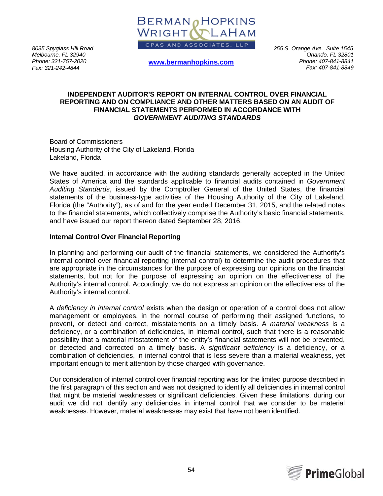

*80 035 Spyglass H Hill Road M Melbourne, FL 3 32940 P Phone: 321-757 7-2020 Fa ax: 321-242-48 844* 

**www.berm manhopkins s.com**

 *255 S S. Orange Ave . Suite 1545 Orland do, FL 32801 Phone: 4 07-841-8841 Fax: 4 07-841-8849* 

#### INDEPENDENT AUDITOR'S REPORT ON INTERNAL CONTROL OVER FINANCIAL **REPORTING AND ON COMPLIANCE AND OTHER MATTERS BASED ON AN AUDIT OF FINANCIAL STATEMENTS PERFORMED IN ACCORDANCE WITH** GOVERNMENT AUDITING STANDARDS

Board of Commissioners Housing Authority of the City of Lakeland, Florida Lakeland, Florida

We have audited, in accordance with the auditing standards generally accepted in the United States of America and the standards applicable to financial audits contained in *Government* Auditing Standards, issued by the Comptroller General of the United States, the financial statements of the business-type activities of the Housing Authority of the City of Lakeland, Florida (the "Authority"), as of and for the year ended December 31, 2015, and the related notes to the financial statements, which collectively comprise the Authority's basic financial statements, and have issued our report thereon dated September 28, 2016.

#### **Internal Control Over Financial Reporting**

In planning and performing our audit of the financial statements, we considered the Authority's internal control over financial reporting (internal control) to determine the audit procedures that are appropriate in the circumstances for the purpose of expressing our opinions on the financial statements, but not for the purpose of expressing an opinion on the effectiveness of the Authority's internal control. Accordingly, we do not express an opinion on the effectiveness of the Authori ty's internal control.

A *deficiency in internal control* exists when the design or operation of a control does not allow management or employees, in the normal course of performing their assigned functions, to prevent, or detect and correct, misstatements on a timely basis. A *material weakness* is a deficiency, or a combination of deficiencies, in internal control, such that there is a reasonable possibility that a material misstatement of the entity's financial statements will not be prevented, or detected and corrected on a timely basis. A significant deficiency is a deficiency, or a combination of deficiencies, in internal control that is less severe than a material weakness, yet important enough to merit attention by those charged with governance.

Our consideration of internal control over financial reporting was for the limited purpose described in the first paragraph of this section and was not designed to identify all deficiencies in internal control that might be material weaknesses or significant deficiencies. Given these limitations, during our audit we did not identify any deficiencies in internal control that we consider to be material weaknesses. However, material weaknesses may exist that have not been identified.

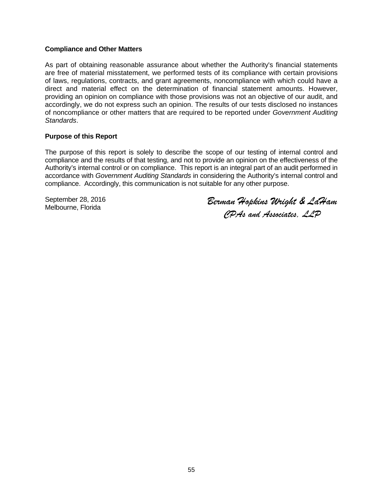#### **Compliance and Other Matters**

As part of obtaining reasonable assurance about whether the Authority's financial statements are free of material misstatement, we performed tests of its compliance with certain provisions of laws, regulations, contracts, and grant agreements, noncompliance with which could have a direct and material effect on the determination of financial statement amounts. However, providing an opinion on compliance with those provisions was not an objective of our audit, and accordingly, we do not express such an opinion. The results of our tests disclosed no instances of noncompliance or other matters that are required to be reported under *Government Auditing Standards*.

#### **Purpose of this Report**

The purpose of this report is solely to describe the scope of our testing of internal control and compliance and the results of that testing, and not to provide an opinion on the effectiveness of the Authority's internal control or on compliance. This report is an integral part of an audit performed in accordance with *Government Auditing Standards* in considering the Authority's internal control and compliance. Accordingly, this communication is not suitable for any other purpose.

September 28, 2016

September 28, 2016<br>Melbourne, Florida *Berman Hopkins Wright & LaHam*<br>Melbourne, Florida *CPAs and Associates, LLP*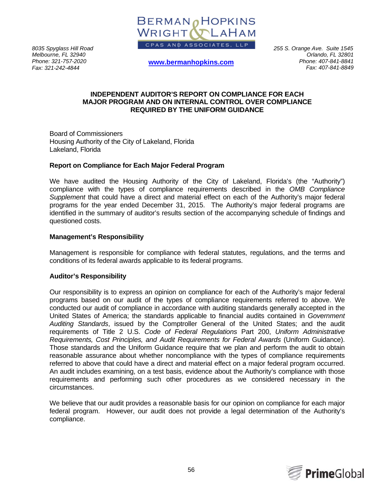

*80 035 Spyglass H Hill Road M Melbourne, FL 3 32940 P Phone: 321-757 7-2020 Fa ax: 321-242-48 844* 

**www.berm manhopkins s.com**

 *255 S S. Orange Ave . Suite 1545 Orland do, FL 32801 Phone: 4 07-841-8841 Fax: 4 07-841-8849* 

## **INDEP PENDENT A AUDITOR'S REPORT O N COMPLIA ANCE FOR E EACH MAJOR PROGRAM AND ON INTERNAL CONTROL OVER COMPLIANCE REQUIRED BY THE UNIFORM GUIDANCE**

Board of Commissioners Housing Authority of the City of Lakeland, Florida Lakeland, Florida

#### **Report on Compliance for Each Major Federal Program**

We have audited the Housing Authority of the City of Lakeland, Florida's (the "Authority") compliance with the types of compliance requirements described in the OMB Compliance Supplement that could have a direct and material effect on each of the Authority's major federal programs for the year ended December 31, 2015. The Authority's major federal programs are identified in the summary of auditor's results section of the accompanying schedule of findings and questio ned costs.

#### **Management's Responsibility**

Management is responsible for compliance with federal statutes, regulations, and the terms and conditions of its federal awards applicable to its federal programs.

## **Auditor r's Respons sibility**

Our responsibility is to express an opinion on compliance for each of the Authority's major federal programs based on our audit of the types of compliance requirements referred to above. We conducted our audit of compliance in accordance with auditing standards generally accepted in the United States of America; the standards applicable to financial audits contained in *Government* Auditing Standards, issued by the Comptroller General of the United States; and the audit requirements of Title 2 U.S. Code of Federal Regulations Part 200, Uniform Administrative Requirements, Cost Principles, and Audit Requirements for Federal Awards (Uniform Guidance). Those standards and the Uniform Guidance require that we plan and perform the audit to obtain reasonable assurance about whether noncompliance with the types of compliance requirements referred to above that could have a direct and material effect on a major federal program occurred. An audit includes examining, on a test basis, evidence about the Authority's compliance with those requirements and performing such other procedures as we considered necessary in the circums stances.

We believe that our audit provides a reasonable basis for our opinion on compliance for each major federal program. However, our audit does not provide a legal determination of the Authority's complia ance.

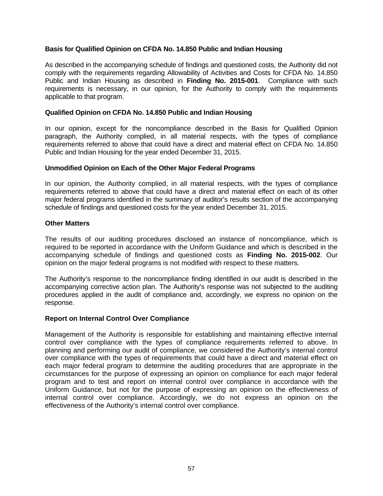## **Basis for Qualified Opinion on CFDA No. 14.850 Public and Indian Housing**

As described in the accompanying schedule of findings and questioned costs, the Authority did not comply with the requirements regarding Allowability of Activities and Costs for CFDA No. 14.850 Public and Indian Housing as described in **Finding No. 2015-001**. Compliance with such requirements is necessary, in our opinion, for the Authority to comply with the requirements applicable to that program.

#### **Qualified Opinion on CFDA No. 14.850 Public and Indian Housing**

In our opinion, except for the noncompliance described in the Basis for Qualified Opinion paragraph, the Authority complied, in all material respects, with the types of compliance requirements referred to above that could have a direct and material effect on CFDA No. 14.850 Public and Indian Housing for the year ended December 31, 2015.

#### **Unmodified Opinion on Each of the Other Major Federal Programs**

In our opinion, the Authority complied, in all material respects, with the types of compliance requirements referred to above that could have a direct and material effect on each of its other major federal programs identified in the summary of auditor's results section of the accompanying schedule of findings and questioned costs for the year ended December 31, 2015.

#### **Other Matters**

The results of our auditing procedures disclosed an instance of noncompliance, which is required to be reported in accordance with the Uniform Guidance and which is described in the accompanying schedule of findings and questioned costs as **Finding No. 2015-002**. Our opinion on the major federal programs is not modified with respect to these matters.

The Authority's response to the noncompliance finding identified in our audit is described in the accompanying corrective action plan. The Authority's response was not subjected to the auditing procedures applied in the audit of compliance and, accordingly, we express no opinion on the response.

#### **Report on Internal Control Over Compliance**

Management of the Authority is responsible for establishing and maintaining effective internal control over compliance with the types of compliance requirements referred to above. In planning and performing our audit of compliance, we considered the Authority's internal control over compliance with the types of requirements that could have a direct and material effect on each major federal program to determine the auditing procedures that are appropriate in the circumstances for the purpose of expressing an opinion on compliance for each major federal program and to test and report on internal control over compliance in accordance with the Uniform Guidance, but not for the purpose of expressing an opinion on the effectiveness of internal control over compliance. Accordingly, we do not express an opinion on the effectiveness of the Authority's internal control over compliance.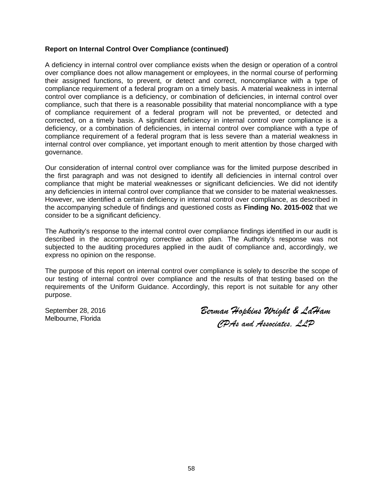#### **Report on Internal Control Over Compliance (continued)**

A deficiency in internal control over compliance exists when the design or operation of a control over compliance does not allow management or employees, in the normal course of performing their assigned functions, to prevent, or detect and correct, noncompliance with a type of compliance requirement of a federal program on a timely basis. A material weakness in internal control over compliance is a deficiency, or combination of deficiencies, in internal control over compliance, such that there is a reasonable possibility that material noncompliance with a type of compliance requirement of a federal program will not be prevented, or detected and corrected, on a timely basis. A significant deficiency in internal control over compliance is a deficiency, or a combination of deficiencies, in internal control over compliance with a type of compliance requirement of a federal program that is less severe than a material weakness in internal control over compliance, yet important enough to merit attention by those charged with governance.

Our consideration of internal control over compliance was for the limited purpose described in the first paragraph and was not designed to identify all deficiencies in internal control over compliance that might be material weaknesses or significant deficiencies. We did not identify any deficiencies in internal control over compliance that we consider to be material weaknesses. However, we identified a certain deficiency in internal control over compliance, as described in the accompanying schedule of findings and questioned costs as **Finding No. 2015-002** that we consider to be a significant deficiency.

The Authority's response to the internal control over compliance findings identified in our audit is described in the accompanying corrective action plan. The Authority's response was not subjected to the auditing procedures applied in the audit of compliance and, accordingly, we express no opinion on the response.

The purpose of this report on internal control over compliance is solely to describe the scope of our testing of internal control over compliance and the results of that testing based on the requirements of the Uniform Guidance. Accordingly, this report is not suitable for any other purpose.

September 28, 2016 Melbourne, Florida

*Berman Hopkins Wright & LaHam CPAs and Associates, LLP*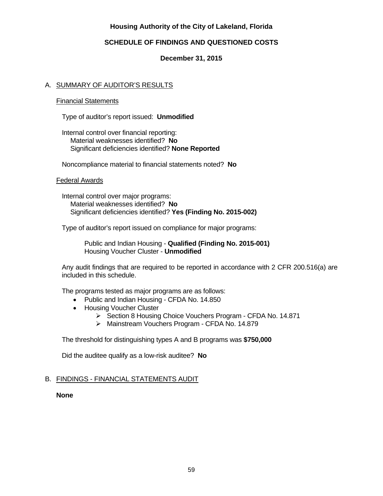## **SCHEDULE OF FINDINGS AND QUESTIONED COSTS**

## **December 31, 2015**

## A. SUMMARY OF AUDITOR'S RESULTS

#### Financial Statements

Type of auditor's report issued: **Unmodified**

Internal control over financial reporting: Material weaknesses identified? **No** Significant deficiencies identified? **None Reported**

Noncompliance material to financial statements noted? **No**

#### Federal Awards

Internal control over major programs: Material weaknesses identified? **No** Significant deficiencies identified? **Yes (Finding No. 2015-002)** 

Type of auditor's report issued on compliance for major programs:

Public and Indian Housing - **Qualified (Finding No. 2015-001)** Housing Voucher Cluster - **Unmodified**

Any audit findings that are required to be reported in accordance with 2 CFR 200.516(a) are included in this schedule.

The programs tested as major programs are as follows:

- Public and Indian Housing CFDA No. 14.850
- Housing Voucher Cluster
	- Section 8 Housing Choice Vouchers Program CFDA No. 14.871
	- Mainstream Vouchers Program CFDA No. 14.879

The threshold for distinguishing types A and B programs was **\$750,000**

Did the auditee qualify as a low-risk auditee? **No**

## B. FINDINGS - FINANCIAL STATEMENTS AUDIT

**None**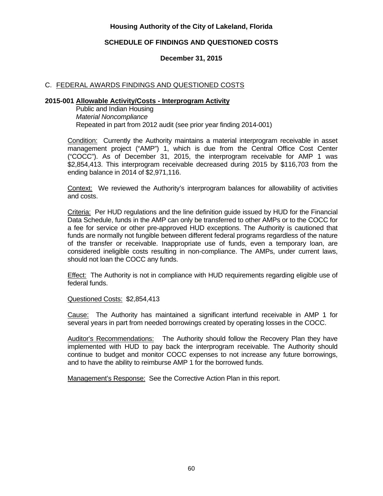## **SCHEDULE OF FINDINGS AND QUESTIONED COSTS**

#### **December 31, 2015**

## C. FEDERAL AWARDS FINDINGS AND QUESTIONED COSTS

#### **2015-001 Allowable Activity/Costs - Interprogram Activity**

Public and Indian Housing *Material Noncompliance*  Repeated in part from 2012 audit (see prior year finding 2014-001)

Condition: Currently the Authority maintains a material interprogram receivable in asset management project ("AMP") 1, which is due from the Central Office Cost Center ("COCC"). As of December 31, 2015, the interprogram receivable for AMP 1 was \$2,854,413. This interprogram receivable decreased during 2015 by \$116,703 from the ending balance in 2014 of \$2,971,116.

Context: We reviewed the Authority's interprogram balances for allowability of activities and costs.

Criteria: Per HUD regulations and the line definition guide issued by HUD for the Financial Data Schedule, funds in the AMP can only be transferred to other AMPs or to the COCC for a fee for service or other pre-approved HUD exceptions. The Authority is cautioned that funds are normally not fungible between different federal programs regardless of the nature of the transfer or receivable. Inappropriate use of funds, even a temporary loan, are considered ineligible costs resulting in non-compliance. The AMPs, under current laws, should not loan the COCC any funds.

**Effect:** The Authority is not in compliance with HUD requirements regarding eligible use of federal funds.

#### Questioned Costs: \$2,854,413

Cause: The Authority has maintained a significant interfund receivable in AMP 1 for several years in part from needed borrowings created by operating losses in the COCC.

Auditor's Recommendations: The Authority should follow the Recovery Plan they have implemented with HUD to pay back the interprogram receivable. The Authority should continue to budget and monitor COCC expenses to not increase any future borrowings, and to have the ability to reimburse AMP 1 for the borrowed funds.

Management's Response: See the Corrective Action Plan in this report.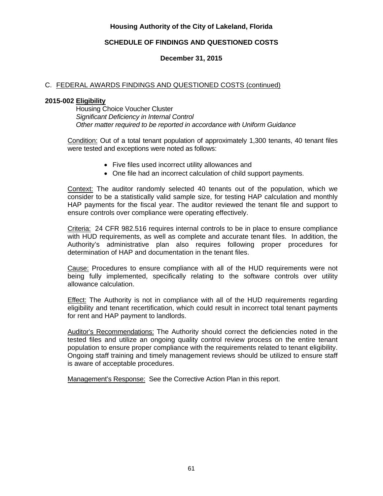## **SCHEDULE OF FINDINGS AND QUESTIONED COSTS**

## **December 31, 2015**

#### C. FEDERAL AWARDS FINDINGS AND QUESTIONED COSTS (continued)

#### **2015-002 Eligibility**

Housing Choice Voucher Cluster *Significant Deficiency in Internal Control Other matter required to be reported in accordance with Uniform Guidance* 

Condition: Out of a total tenant population of approximately 1,300 tenants, 40 tenant files were tested and exceptions were noted as follows:

- Five files used incorrect utility allowances and
- One file had an incorrect calculation of child support payments.

Context: The auditor randomly selected 40 tenants out of the population, which we consider to be a statistically valid sample size, for testing HAP calculation and monthly HAP payments for the fiscal year. The auditor reviewed the tenant file and support to ensure controls over compliance were operating effectively.

Criteria: 24 CFR 982.516 requires internal controls to be in place to ensure compliance with HUD requirements, as well as complete and accurate tenant files. In addition, the Authority's administrative plan also requires following proper procedures for determination of HAP and documentation in the tenant files.

Cause: Procedures to ensure compliance with all of the HUD requirements were not being fully implemented, specifically relating to the software controls over utility allowance calculation.

Effect: The Authority is not in compliance with all of the HUD requirements regarding eligibility and tenant recertification, which could result in incorrect total tenant payments for rent and HAP payment to landlords.

Auditor's Recommendations: The Authority should correct the deficiencies noted in the tested files and utilize an ongoing quality control review process on the entire tenant population to ensure proper compliance with the requirements related to tenant eligibility. Ongoing staff training and timely management reviews should be utilized to ensure staff is aware of acceptable procedures.

Management's Response: See the Corrective Action Plan in this report.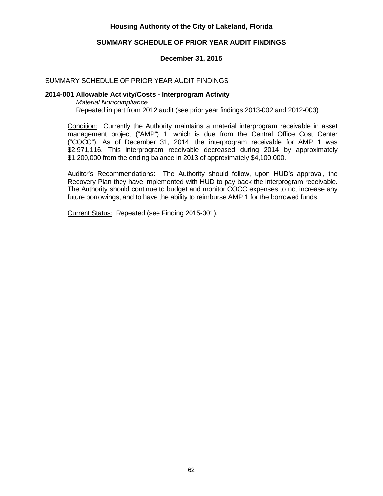#### **SUMMARY SCHEDULE OF PRIOR YEAR AUDIT FINDINGS**

### **December 31, 2015**

#### SUMMARY SCHEDULE OF PRIOR YEAR AUDIT FINDINGS

#### **2014-001 Allowable Activity/Costs - Interprogram Activity**

*Material Noncompliance*  Repeated in part from 2012 audit (see prior year findings 2013-002 and 2012-003)

Condition: Currently the Authority maintains a material interprogram receivable in asset management project ("AMP") 1, which is due from the Central Office Cost Center ("COCC"). As of December 31, 2014, the interprogram receivable for AMP 1 was \$2,971,116. This interprogram receivable decreased during 2014 by approximately \$1,200,000 from the ending balance in 2013 of approximately \$4,100,000.

Auditor's Recommendations: The Authority should follow, upon HUD's approval, the Recovery Plan they have implemented with HUD to pay back the interprogram receivable. The Authority should continue to budget and monitor COCC expenses to not increase any future borrowings, and to have the ability to reimburse AMP 1 for the borrowed funds.

Current Status: Repeated (see Finding 2015-001).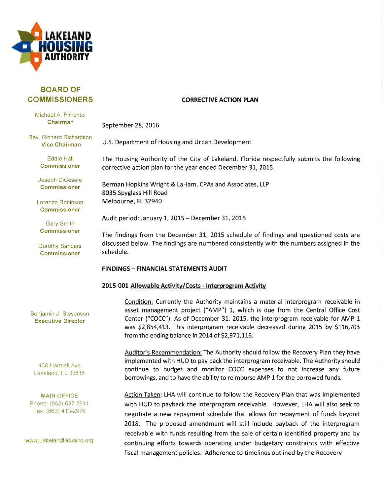

# **BOARD OF COMMISSIONERS**

## **CORRECTIVE ACTION PLAN**

Michael A. Pimentel Chairman

September 28, 2016

Rev Richard Richardson **Vice Chairman** 

Eddie Hall

**Commissioner** 

U.S. Department of Housing and Urban Development

The Housing Authority of the City of Lakeland, Florida respectfully submits the following corrective action plan for the year ended December 31, 2015.

**Joseph DiCesare Commissioner** 

Lorenzo Robinson **Commissioner** 

Gary Smith Commissioner

**Dorothy Sanders** Commissioner

Benjamin J. Stevenson **Executive Director** 

430 Hartsell Ave Lakeland, FL 33815

**MAIN OFFICE** Phone: (863) 687-2911 Fax: (863) 413-2976

www.LakelandHousing.org

Berman Hopkins Wright & LaHam, CPAs and Associates, LLP 8035 Spyglass Hill Road Melbourne, FL 32940

Audit period: January 1, 2015 – December 31, 2015

The findings from the December 31, 2015 schedule of findings and questioned costs are discussed below. The findings are numbered consistently with the numbers assigned in the schedule.

#### **FINDINGS - FINANCIAL STATEMENTS AUDIT**

## 2015-001 Allowable Activity/Costs - Interprogram Activity

Condition: Currently the Authority maintains a material interprogram receivable in asset management project ("AMP") 1, which is due from the Central Office Cost Center ("COCC"). As of December 31, 2015, the interprogram receivable for AMP 1 was \$2,854,413. This interprogram receivable decreased during 2015 by \$116,703 from the ending balance in 2014 of \$2,971,116.

Auditor's Recommendation: The Authority should follow the Recovery Plan they have implemented with HUD to pay back the interprogram receivable. The Authority should continue to budget and monitor COCC expenses to not increase any future borrowings, and to have the ability to reimburse AMP 1 for the borrowed funds.

Action Taken: LHA will continue to follow the Recovery Plan that was implemented with HUD to payback the interprogram receivable. However, LHA will also seek to negotiate a new repayment schedule that allows for repayment of funds beyond 2018. The proposed amendment will still include payback of the interprogram receivable with funds resulting from the sale of certain identified property and by continuing efforts towards operating under budgetary constraints with effective fiscal management policies. Adherence to timelines outlined by the Recovery